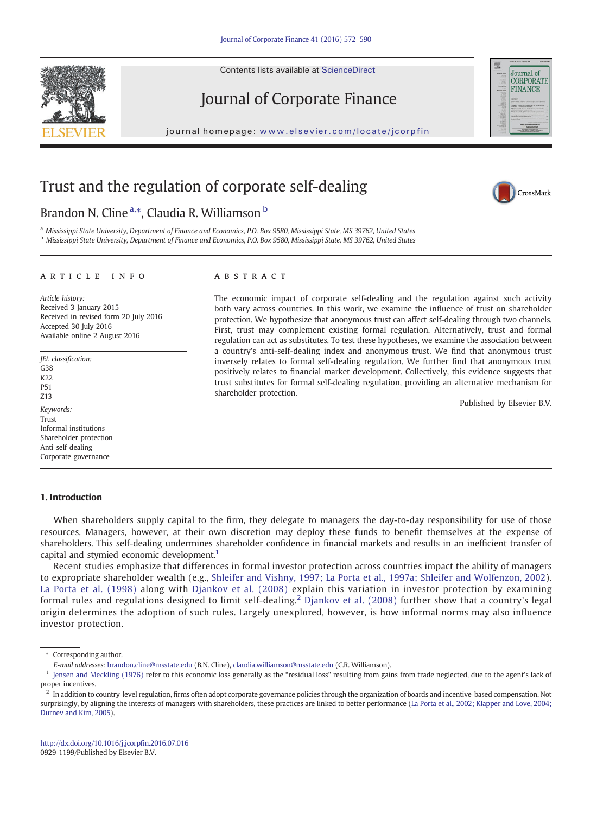Contents lists available at ScienceDirect





journal homepage: www.elsevier.com/locate/jcorp/locate/jcorp/locate/jcorp/locate/jcorp/locate/jcorp/locate/jcorp/

# Trust and the regulation of corporate self-dealing

# Brandon N. Cline  $a,*$ , Claudia R. Williamson  $b$

<sup>a</sup> Mississippi State University, Department of Finance and Economics, P.O. Box 9580, Mississippi State, MS 39762, United States <sup>b</sup> Mississippi State University, Department of Finance and Economics, P.O. Box 9580, Mississippi State, MS 39762, United States

#### article info abstract

Article history: Received 3 January 2015 Received in revised form 20 July 2016 Accepted 30 July 2016 Available online 2 August 2016

JEL classification:  $G38$  $K22$ P51 Z13 Keywords: Trust Informal institutions Shareholder protection Anti-self-dealing Corporate governance

# 1. Introduction

The economic impact of corporate self-dealing and the regulation against such activity both vary across countries. In this work, we examine the influence of trust on shareholder protection. We hypothesize that anonymous trust can affect self-dealing through two channels. First, trust may complement existing formal regulation. Alternatively, trust and formal regulation can act as substitutes. To test these hypotheses, we examine the association between a country's anti-self-dealing index and anonymous trust. We find that anonymous trust inversely relates to formal self-dealing regulation. We further find that anonymous trust positively relates to financial market development. Collectively, this evidence suggests that trust substitutes for formal self-dealing regulation, providing an alternative mechanism for shareholder protection.

Published by Elsevier B.V.

Journal of **CORPORATE FINANCE** 

CrossMark

When shareholders supply capital to the firm, they delegate to managers the day-to-day responsibility for use of those resources. Managers, however, at their own discretion may deploy these funds to benefit themselves at the expense of shareholders. This self-dealing undermines shareholder confidence in financial markets and results in an inefficient transfer of capital and stymied economic development.<sup>1</sup>

Recent studies emphasize that differences in formal investor protection across countries impact the ability of managers to expropriate shareholder wealth (e.g., [Shleifer and Vishny, 1997; La Porta et al., 1997a; Shleifer and Wolfenzon, 2002\)](#page-18-0). [La Porta et al. \(1998\)](#page-18-0) along with [Djankov et al. \(2008\)](#page-17-0) explain this variation in investor protection by examining formal rules and regulations designed to limit self-dealing.<sup>2</sup> [Djankov et al. \(2008\)](#page-17-0) further show that a country's legal origin determines the adoption of such rules. Largely unexplored, however, is how informal norms may also influence investor protection.

<sup>⁎</sup> Corresponding author.

E-mail addresses: [brandon.cline@msstate.edu](mailto:brandon.cline@msstate.edu) (B.N. Cline), [claudia.williamson@msstate.edu](mailto:claudia.williamson@msstate.edu) (C.R. Williamson).

 $<sup>1</sup>$  [Jensen and Meckling \(1976\)](#page-18-0) refer to this economic loss generally as the "residual loss" resulting from gains from trade neglected, due to the agent's lack of</sup> proper incentives.

 $^2$  In addition to country-level regulation, firms often adopt corporate governance policies through the organization of boards and incentive-based compensation. Not surprisingly, by aligning the interests of managers with shareholders, these practices are linked to better performance [\(La Porta et al., 2002; Klapper and Love, 2004;](#page-18-0) [Durnev and Kim, 2005\)](#page-18-0).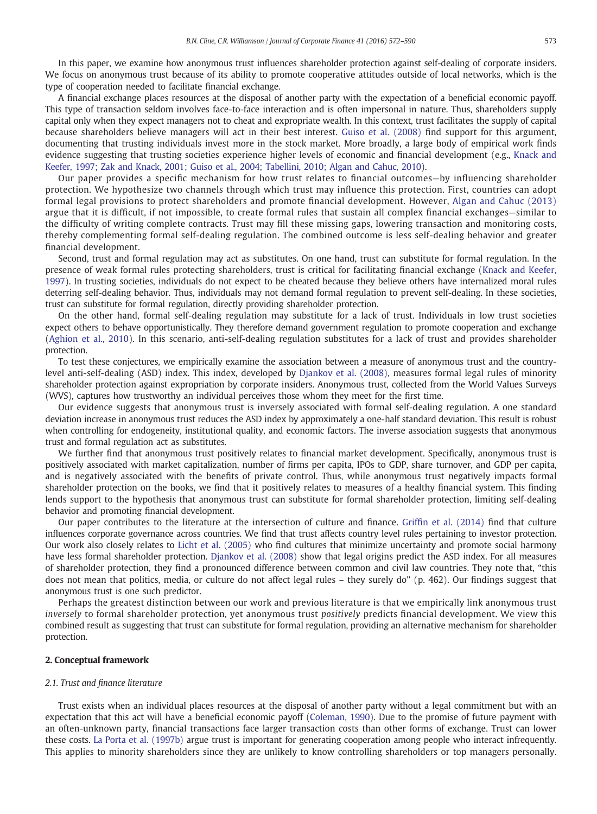<span id="page-1-0"></span>In this paper, we examine how anonymous trust influences shareholder protection against self-dealing of corporate insiders. We focus on anonymous trust because of its ability to promote cooperative attitudes outside of local networks, which is the type of cooperation needed to facilitate financial exchange.

A financial exchange places resources at the disposal of another party with the expectation of a beneficial economic payoff. This type of transaction seldom involves face-to-face interaction and is often impersonal in nature. Thus, shareholders supply capital only when they expect managers not to cheat and expropriate wealth. In this context, trust facilitates the supply of capital because shareholders believe managers will act in their best interest. [Guiso et al. \(2008\)](#page-18-0) find support for this argument, documenting that trusting individuals invest more in the stock market. More broadly, a large body of empirical work finds evidence suggesting that trusting societies experience higher levels of economic and financial development (e.g., [Knack and](#page-18-0) [Keefer, 1997; Zak and Knack, 2001; Guiso et al., 2004; Tabellini, 2010; Algan and Cahuc, 2010\)](#page-18-0).

Our paper provides a specific mechanism for how trust relates to financial outcomes—by influencing shareholder protection. We hypothesize two channels through which trust may influence this protection. First, countries can adopt formal legal provisions to protect shareholders and promote financial development. However, [Algan and Cahuc \(2013\)](#page-17-0) argue that it is difficult, if not impossible, to create formal rules that sustain all complex financial exchanges—similar to the difficulty of writing complete contracts. Trust may fill these missing gaps, lowering transaction and monitoring costs, thereby complementing formal self-dealing regulation. The combined outcome is less self-dealing behavior and greater financial development.

Second, trust and formal regulation may act as substitutes. On one hand, trust can substitute for formal regulation. In the presence of weak formal rules protecting shareholders, trust is critical for facilitating financial exchange ([Knack and Keefer,](#page-18-0) [1997](#page-18-0)). In trusting societies, individuals do not expect to be cheated because they believe others have internalized moral rules deterring self-dealing behavior. Thus, individuals may not demand formal regulation to prevent self-dealing. In these societies, trust can substitute for formal regulation, directly providing shareholder protection.

On the other hand, formal self-dealing regulation may substitute for a lack of trust. Individuals in low trust societies expect others to behave opportunistically. They therefore demand government regulation to promote cooperation and exchange ([Aghion et al., 2010](#page-17-0)). In this scenario, anti-self-dealing regulation substitutes for a lack of trust and provides shareholder protection.

To test these conjectures, we empirically examine the association between a measure of anonymous trust and the countrylevel anti-self-dealing (ASD) index. This index, developed by [Djankov et al. \(2008\),](#page-17-0) measures formal legal rules of minority shareholder protection against expropriation by corporate insiders. Anonymous trust, collected from the World Values Surveys (WVS), captures how trustworthy an individual perceives those whom they meet for the first time.

Our evidence suggests that anonymous trust is inversely associated with formal self-dealing regulation. A one standard deviation increase in anonymous trust reduces the ASD index by approximately a one-half standard deviation. This result is robust when controlling for endogeneity, institutional quality, and economic factors. The inverse association suggests that anonymous trust and formal regulation act as substitutes.

We further find that anonymous trust positively relates to financial market development. Specifically, anonymous trust is positively associated with market capitalization, number of firms per capita, IPOs to GDP, share turnover, and GDP per capita, and is negatively associated with the benefits of private control. Thus, while anonymous trust negatively impacts formal shareholder protection on the books, we find that it positively relates to measures of a healthy financial system. This finding lends support to the hypothesis that anonymous trust can substitute for formal shareholder protection, limiting self-dealing behavior and promoting financial development.

Our paper contributes to the literature at the intersection of culture and finance. Griffi[n et al. \(2014\)](#page-17-0) find that culture influences corporate governance across countries. We find that trust affects country level rules pertaining to investor protection. Our work also closely relates to [Licht et al. \(2005\)](#page-18-0) who find cultures that minimize uncertainty and promote social harmony have less formal shareholder protection. [Djankov et al. \(2008\)](#page-17-0) show that legal origins predict the ASD index. For all measures of shareholder protection, they find a pronounced difference between common and civil law countries. They note that, "this does not mean that politics, media, or culture do not affect legal rules – they surely do" (p. 462). Our findings suggest that anonymous trust is one such predictor.

Perhaps the greatest distinction between our work and previous literature is that we empirically link anonymous trust inversely to formal shareholder protection, yet anonymous trust positively predicts financial development. We view this combined result as suggesting that trust can substitute for formal regulation, providing an alternative mechanism for shareholder protection.

# 2. Conceptual framework

### 2.1. Trust and finance literature

Trust exists when an individual places resources at the disposal of another party without a legal commitment but with an expectation that this act will have a beneficial economic payoff ([Coleman, 1990](#page-17-0)). Due to the promise of future payment with an often-unknown party, financial transactions face larger transaction costs than other forms of exchange. Trust can lower these costs. [La Porta et al. \(1997b\)](#page-18-0) argue trust is important for generating cooperation among people who interact infrequently. This applies to minority shareholders since they are unlikely to know controlling shareholders or top managers personally.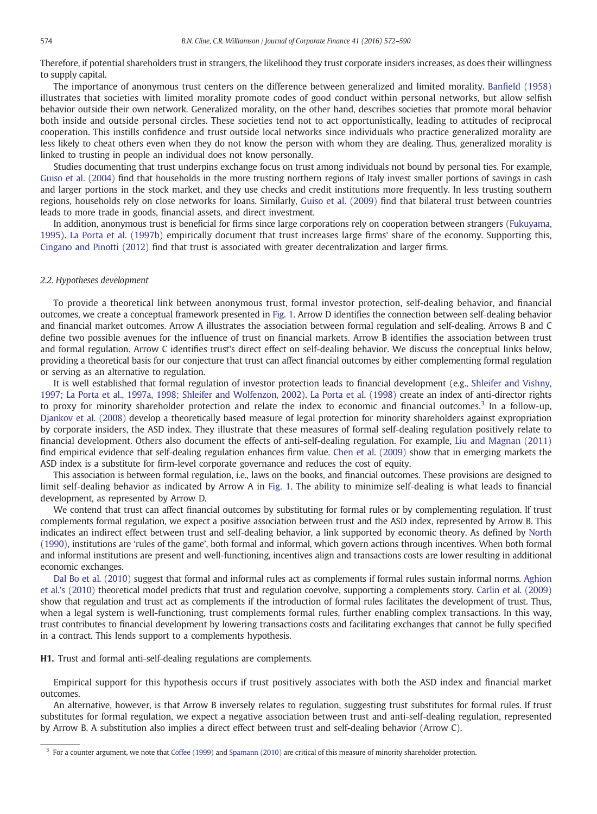Therefore, if potential shareholders trust in strangers, the likelihood they trust corporate insiders increases, as does their willingness to supply capital.

The importance of anonymous trust centers on the difference between generalized and limited morality. Banfi[eld \(1958\)](#page-17-0) illustrates that societies with limited morality promote codes of good conduct within personal networks, but allow selfish behavior outside their own network. Generalized morality, on the other hand, describes societies that promote moral behavior both inside and outside personal circles. These societies tend not to act opportunistically, leading to attitudes of reciprocal cooperation. This instills confidence and trust outside local networks since individuals who practice generalized morality are less likely to cheat others even when they do not know the person with whom they are dealing. Thus, generalized morality is linked to trusting in people an individual does not know personally.

Studies documenting that trust underpins exchange focus on trust among individuals not bound by personal ties. For example, [Guiso et al. \(2004\)](#page-17-0) find that households in the more trusting northern regions of Italy invest smaller portions of savings in cash and larger portions in the stock market, and they use checks and credit institutions more frequently. In less trusting southern regions, households rely on close networks for loans. Similarly, [Guiso et al. \(2009\)](#page-18-0) find that bilateral trust between countries leads to more trade in goods, financial assets, and direct investment.

In addition, anonymous trust is beneficial for firms since large corporations rely on cooperation between strangers ([Fukuyama,](#page-17-0) [1995](#page-17-0)). [La Porta et al. \(1997b\)](#page-18-0) empirically document that trust increases large firms' share of the economy. Supporting this, [Cingano and Pinotti \(2012\)](#page-17-0) find that trust is associated with greater decentralization and larger firms.

# 2.2. Hypotheses development

To provide a theoretical link between anonymous trust, formal investor protection, self-dealing behavior, and financial outcomes, we create a conceptual framework presented in [Fig. 1.](#page-3-0) Arrow D identifies the connection between self-dealing behavior and financial market outcomes. Arrow A illustrates the association between formal regulation and self-dealing. Arrows B and C define two possible avenues for the influence of trust on financial markets. Arrow B identifies the association between trust and formal regulation. Arrow C identifies trust's direct effect on self-dealing behavior. We discuss the conceptual links below, providing a theoretical basis for our conjecture that trust can affect financial outcomes by either complementing formal regulation or serving as an alternative to regulation.

It is well established that formal regulation of investor protection leads to financial development (e.g., [Shleifer and Vishny,](#page-18-0) [1997; La Porta et al., 1997a, 1998; Shleifer and Wolfenzon, 2002\)](#page-18-0). [La Porta et al. \(1998\)](#page-18-0) create an index of anti-director rights to proxy for minority shareholder protection and relate the index to economic and financial outcomes.<sup>3</sup> In a follow-up, [Djankov et al. \(2008\)](#page-17-0) develop a theoretically based measure of legal protection for minority shareholders against expropriation by corporate insiders, the ASD index. They illustrate that these measures of formal self-dealing regulation positively relate to financial development. Others also document the effects of anti-self-dealing regulation. For example, [Liu and Magnan \(2011\)](#page-18-0) find empirical evidence that self-dealing regulation enhances firm value. [Chen et al. \(2009\)](#page-17-0) show that in emerging markets the ASD index is a substitute for firm-level corporate governance and reduces the cost of equity.

This association is between formal regulation, i.e., laws on the books, and financial outcomes. These provisions are designed to limit self-dealing behavior as indicated by Arrow A in [Fig. 1](#page-3-0). The ability to minimize self-dealing is what leads to financial development, as represented by Arrow D.

We contend that trust can affect financial outcomes by substituting for formal rules or by complementing regulation. If trust complements formal regulation, we expect a positive association between trust and the ASD index, represented by Arrow B. This indicates an indirect effect between trust and self-dealing behavior, a link supported by economic theory. As defined by [North](#page-18-0) [\(1990\),](#page-18-0) institutions are 'rules of the game', both formal and informal, which govern actions through incentives. When both formal and informal institutions are present and well-functioning, incentives align and transactions costs are lower resulting in additional economic exchanges.

[Dal Bo et al. \(2010\)](#page-17-0) suggest that formal and informal rules act as complements if formal rules sustain informal norms. [Aghion](#page-17-0) et al.'[s \(2010\)](#page-17-0) theoretical model predicts that trust and regulation coevolve, supporting a complements story. [Carlin et al. \(2009\)](#page-17-0) show that regulation and trust act as complements if the introduction of formal rules facilitates the development of trust. Thus, when a legal system is well-functioning, trust complements formal rules, further enabling complex transactions. In this way, trust contributes to financial development by lowering transactions costs and facilitating exchanges that cannot be fully specified in a contract. This lends support to a complements hypothesis.

H1. Trust and formal anti-self-dealing regulations are complements.

Empirical support for this hypothesis occurs if trust positively associates with both the ASD index and financial market outcomes.

An alternative, however, is that Arrow B inversely relates to regulation, suggesting trust substitutes for formal rules. If trust substitutes for formal regulation, we expect a negative association between trust and anti-self-dealing regulation, represented by Arrow B. A substitution also implies a direct effect between trust and self-dealing behavior (Arrow C).

 $3$  For a counter argument, we note that [Coffee \(1999\)](#page-17-0) and [Spamann \(2010\)](#page-18-0) are critical of this measure of minority shareholder protection.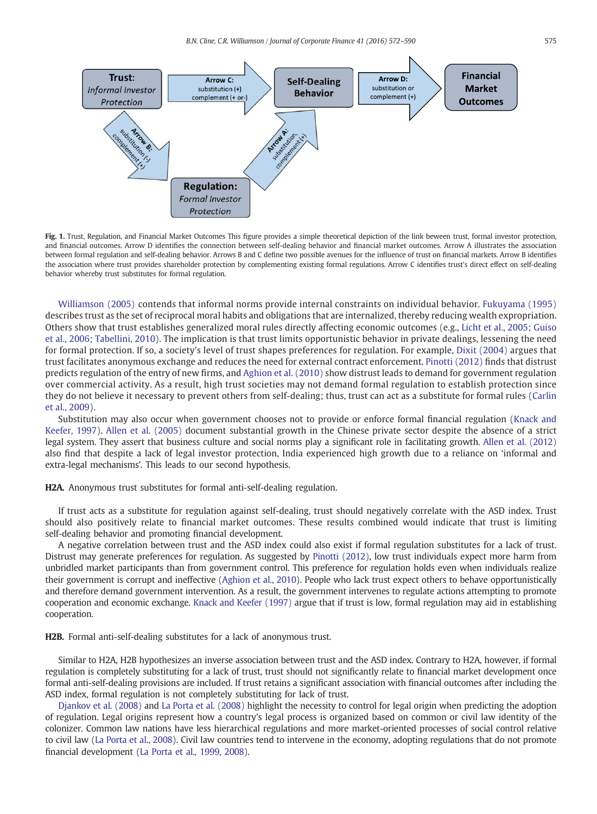<span id="page-3-0"></span>

Fig. 1. Trust, Regulation, and Financial Market Outcomes This figure provides a simple theoretical depiction of the link beween trust, formal investor protection, and financial outcomes. Arrow D identifies the connection between self-dealing behavior and financial market outcomes. Arrow A illustrates the association between formal regulation and self-dealing behavior. Arrows B and C define two possible avenues for the influence of trust on financial markets. Arrow B identifies the association where trust provides shareholder protection by complementing existing formal regulations. Arrow C identifies trust's direct effect on self-dealing behavior whereby trust substitutes for formal regulation.

[Williamson \(2005\)](#page-18-0) contends that informal norms provide internal constraints on individual behavior. [Fukuyama \(1995\)](#page-17-0) describes trust as the set of reciprocal moral habits and obligations that are internalized, thereby reducing wealth expropriation. Others show that trust establishes generalized moral rules directly affecting economic outcomes (e.g., [Licht et al., 2005; Guiso](#page-18-0) [et al., 2006; Tabellini, 2010\)](#page-18-0). The implication is that trust limits opportunistic behavior in private dealings, lessening the need for formal protection. If so, a society's level of trust shapes preferences for regulation. For example, [Dixit \(2004\)](#page-17-0) argues that trust facilitates anonymous exchange and reduces the need for external contract enforcement. [Pinotti \(2012\)](#page-18-0) finds that distrust predicts regulation of the entry of new firms, and [Aghion et al. \(2010\)](#page-17-0) show distrust leads to demand for government regulation over commercial activity. As a result, high trust societies may not demand formal regulation to establish protection since they do not believe it necessary to prevent others from self-dealing; thus, trust can act as a substitute for formal rules [\(Carlin](#page-17-0) [et al., 2009\)](#page-17-0).

Substitution may also occur when government chooses not to provide or enforce formal financial regulation [\(Knack and](#page-18-0) [Keefer, 1997](#page-18-0)). [Allen et al. \(2005\)](#page-17-0) document substantial growth in the Chinese private sector despite the absence of a strict legal system. They assert that business culture and social norms play a significant role in facilitating growth. [Allen et al. \(2012\)](#page-17-0) also find that despite a lack of legal investor protection, India experienced high growth due to a reliance on 'informal and extra-legal mechanisms'. This leads to our second hypothesis.

H2A. Anonymous trust substitutes for formal anti-self-dealing regulation.

If trust acts as a substitute for regulation against self-dealing, trust should negatively correlate with the ASD index. Trust should also positively relate to financial market outcomes. These results combined would indicate that trust is limiting self-dealing behavior and promoting financial development.

A negative correlation between trust and the ASD index could also exist if formal regulation substitutes for a lack of trust. Distrust may generate preferences for regulation. As suggested by [Pinotti \(2012\),](#page-18-0) low trust individuals expect more harm from unbridled market participants than from government control. This preference for regulation holds even when individuals realize their government is corrupt and ineffective ([Aghion et al., 2010](#page-17-0)). People who lack trust expect others to behave opportunistically and therefore demand government intervention. As a result, the government intervenes to regulate actions attempting to promote cooperation and economic exchange. [Knack and Keefer \(1997\)](#page-18-0) argue that if trust is low, formal regulation may aid in establishing cooperation.

H2B. Formal anti-self-dealing substitutes for a lack of anonymous trust.

Similar to H2A, H2B hypothesizes an inverse association between trust and the ASD index. Contrary to H2A, however, if formal regulation is completely substituting for a lack of trust, trust should not significantly relate to financial market development once formal anti-self-dealing provisions are included. If trust retains a significant association with financial outcomes after including the ASD index, formal regulation is not completely substituting for lack of trust.

[Djankov et al. \(2008\)](#page-17-0) and [La Porta et al. \(2008\)](#page-18-0) highlight the necessity to control for legal origin when predicting the adoption of regulation. Legal origins represent how a country's legal process is organized based on common or civil law identity of the colonizer. Common law nations have less hierarchical regulations and more market-oriented processes of social control relative to civil law ([La Porta et al., 2008](#page-18-0)). Civil law countries tend to intervene in the economy, adopting regulations that do not promote financial development ([La Porta et al., 1999, 2008\)](#page-18-0).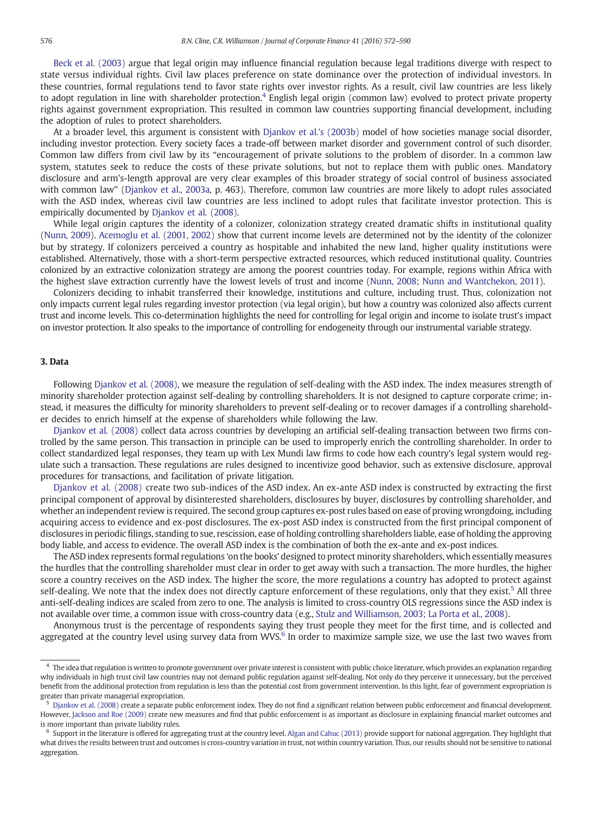[Beck et al. \(2003\)](#page-17-0) argue that legal origin may influence financial regulation because legal traditions diverge with respect to state versus individual rights. Civil law places preference on state dominance over the protection of individual investors. In these countries, formal regulations tend to favor state rights over investor rights. As a result, civil law countries are less likely to adopt regulation in line with shareholder protection.<sup>4</sup> English legal origin (common law) evolved to protect private property rights against government expropriation. This resulted in common law countries supporting financial development, including the adoption of rules to protect shareholders.

At a broader level, this argument is consistent with [Djankov et al.](#page-17-0)'s (2003b) model of how societies manage social disorder, including investor protection. Every society faces a trade-off between market disorder and government control of such disorder. Common law differs from civil law by its "encouragement of private solutions to the problem of disorder. In a common law system, statutes seek to reduce the costs of these private solutions, but not to replace them with public ones. Mandatory disclosure and arm's-length approval are very clear examples of this broader strategy of social control of business associated with common law" [\(Djankov et al., 2003a](#page-17-0), p. 463). Therefore, common law countries are more likely to adopt rules associated with the ASD index, whereas civil law countries are less inclined to adopt rules that facilitate investor protection. This is empirically documented by [Djankov et al. \(2008\)](#page-17-0).

While legal origin captures the identity of a colonizer, colonization strategy created dramatic shifts in institutional quality [\(Nunn, 2009](#page-18-0)). [Acemoglu et al. \(2001, 2002\)](#page-17-0) show that current income levels are determined not by the identity of the colonizer but by strategy. If colonizers perceived a country as hospitable and inhabited the new land, higher quality institutions were established. Alternatively, those with a short-term perspective extracted resources, which reduced institutional quality. Countries colonized by an extractive colonization strategy are among the poorest countries today. For example, regions within Africa with the highest slave extraction currently have the lowest levels of trust and income [\(Nunn, 2008; Nunn and Wantchekon, 2011\)](#page-18-0).

Colonizers deciding to inhabit transferred their knowledge, institutions and culture, including trust. Thus, colonization not only impacts current legal rules regarding investor protection (via legal origin), but how a country was colonized also affects current trust and income levels. This co-determination highlights the need for controlling for legal origin and income to isolate trust's impact on investor protection. It also speaks to the importance of controlling for endogeneity through our instrumental variable strategy.

# 3. Data

Following [Djankov et al. \(2008\),](#page-17-0) we measure the regulation of self-dealing with the ASD index. The index measures strength of minority shareholder protection against self-dealing by controlling shareholders. It is not designed to capture corporate crime; instead, it measures the difficulty for minority shareholders to prevent self-dealing or to recover damages if a controlling shareholder decides to enrich himself at the expense of shareholders while following the law.

[Djankov et al. \(2008\)](#page-17-0) collect data across countries by developing an artificial self-dealing transaction between two firms controlled by the same person. This transaction in principle can be used to improperly enrich the controlling shareholder. In order to collect standardized legal responses, they team up with Lex Mundi law firms to code how each country's legal system would regulate such a transaction. These regulations are rules designed to incentivize good behavior, such as extensive disclosure, approval procedures for transactions, and facilitation of private litigation.

[Djankov et al. \(2008\)](#page-17-0) create two sub-indices of the ASD index. An ex-ante ASD index is constructed by extracting the first principal component of approval by disinterested shareholders, disclosures by buyer, disclosures by controlling shareholder, and whether an independent review is required. The second group captures ex-post rules based on ease of proving wrongdoing, including acquiring access to evidence and ex-post disclosures. The ex-post ASD index is constructed from the first principal component of disclosures in periodic filings, standing to sue, rescission, ease of holding controlling shareholders liable, ease of holding the approving body liable, and access to evidence. The overall ASD index is the combination of both the ex-ante and ex-post indices.

The ASD index represents formal regulations 'on the books' designed to protect minority shareholders, which essentially measures the hurdles that the controlling shareholder must clear in order to get away with such a transaction. The more hurdles, the higher score a country receives on the ASD index. The higher the score, the more regulations a country has adopted to protect against self-dealing. We note that the index does not directly capture enforcement of these regulations, only that they exist.<sup>5</sup> All three anti-self-dealing indices are scaled from zero to one. The analysis is limited to cross-country OLS regressions since the ASD index is not available over time, a common issue with cross-country data (e.g., [Stulz and Williamson, 2003; La Porta et al., 2008\)](#page-18-0).

Anonymous trust is the percentage of respondents saying they trust people they meet for the first time, and is collected and aggregated at the country level using survey data from WVS.<sup>6</sup> In order to maximize sample size, we use the last two waves from

<sup>&</sup>lt;sup>4</sup> The idea that regulation is written to promote government over private interest is consistent with public choice literature, which provides an explanation regarding why individuals in high trust civil law countries may not demand public regulation against self-dealing. Not only do they perceive it unnecessary, but the perceived benefit from the additional protection from regulation is less than the potential cost from government intervention. In this light, fear of government expropriation is greater than private managerial expropriation.

<sup>5</sup> [Djankov et al. \(2008\)](#page-17-0) create a separate public enforcement index. They do not find a significant relation between public enforcement and financial development. However, [Jackson and Roe \(2009\)](#page-18-0) create new measures and find that public enforcement is as important as disclosure in explaining financial market outcomes and is more important than private liability rules.

 $6$  Support in the literature is offered for aggregating trust at the country level. [Algan and Cahuc \(2013\)](#page-17-0) provide support for national aggregation. They highlight that what drives the results between trust and outcomes is cross-country variation in trust, not within country variation. Thus, our results should not be sensitive to national aggregation.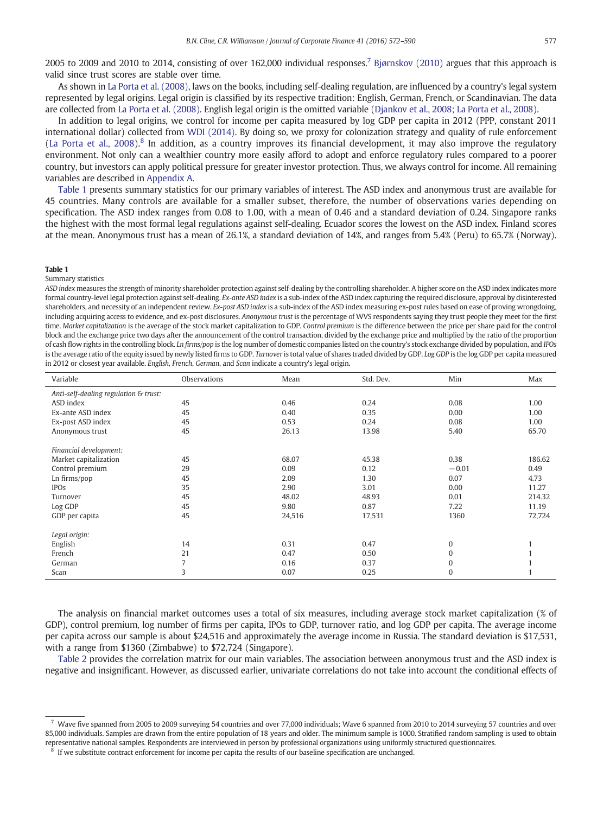2005 to 2009 and 2010 to 2014, consisting of over 162,000 individual responses.7 [Bjørnskov \(2010\)](#page-17-0) argues that this approach is valid since trust scores are stable over time.

As shown in [La Porta et al. \(2008\),](#page-18-0) laws on the books, including self-dealing regulation, are influenced by a country's legal system represented by legal origins. Legal origin is classified by its respective tradition: English, German, French, or Scandinavian. The data are collected from [La Porta et al. \(2008\)](#page-18-0). English legal origin is the omitted variable ([Djankov et al., 2008; La Porta et al., 2008](#page-17-0)).

In addition to legal origins, we control for income per capita measured by log GDP per capita in 2012 (PPP, constant 2011 international dollar) collected from [WDI \(2014\)](#page-18-0). By doing so, we proxy for colonization strategy and quality of rule enforcement ([La Porta et al., 2008\)](#page-18-0).<sup>8</sup> In addition, as a country improves its financial development, it may also improve the regulatory environment. Not only can a wealthier country more easily afford to adopt and enforce regulatory rules compared to a poorer country, but investors can apply political pressure for greater investor protection. Thus, we always control for income. All remaining variables are described in [Appendix A](#page-15-0).

Table 1 presents summary statistics for our primary variables of interest. The ASD index and anonymous trust are available for 45 countries. Many controls are available for a smaller subset, therefore, the number of observations varies depending on specification. The ASD index ranges from 0.08 to 1.00, with a mean of 0.46 and a standard deviation of 0.24. Singapore ranks the highest with the most formal legal regulations against self-dealing. Ecuador scores the lowest on the ASD index. Finland scores at the mean. Anonymous trust has a mean of 26.1%, a standard deviation of 14%, and ranges from 5.4% (Peru) to 65.7% (Norway).

#### Table 1

Summary statistics

ASD index measures the strength of minority shareholder protection against self-dealing by the controlling shareholder. A higher score on the ASD index indicates more formal country-level legal protection against self-dealing. Ex-ante ASD index is a sub-index of the ASD index capturing the required disclosure, approval by disinterested shareholders, and necessity of an independent review. Ex-post ASD index is a sub-index of the ASD index measuring ex-post rules based on ease of proving wrongdoing, including acquiring access to evidence, and ex-post disclosures. Anonymous trust is the percentage of WVS respondents saying they trust people they meet for the first time. Market capitalization is the average of the stock market capitalization to GDP. Control premium is the difference between the price per share paid for the control block and the exchange price two days after the announcement of the control transaction, divided by the exchange price and multiplied by the ratio of the proportion of cash flow rights in the controlling block. Ln firms/pop is the log number of domestic companies listed on the country's stock exchange divided by population, and IPOs is the average ratio of the equity issued by newly listed firms to GDP. Turnover is total value of shares traded divided by GDP. Log GDP is the log GDP per capita measured in 2012 or closest year available. English, French, German, and Scan indicate a country's legal origin.

| Variable                              | Observations | Mean   | Std. Dev. | Min      | Max    |
|---------------------------------------|--------------|--------|-----------|----------|--------|
| Anti-self-dealing regulation & trust: |              |        |           |          |        |
| ASD index                             | 45           | 0.46   | 0.24      | 0.08     | 1.00   |
| Ex-ante ASD index                     | 45           | 0.40   | 0.35      | 0.00     | 1.00   |
| Ex-post ASD index                     | 45           | 0.53   | 0.24      | 0.08     | 1.00   |
| Anonymous trust                       | 45           | 26.13  | 13.98     | 5.40     | 65.70  |
| Financial development:                |              |        |           |          |        |
| Market capitalization                 | 45           | 68.07  | 45.38     | 0.38     | 186.62 |
| Control premium                       | 29           | 0.09   | 0.12      | $-0.01$  | 0.49   |
| Ln firms/pop                          | 45           | 2.09   | 1.30      | 0.07     | 4.73   |
| <b>IPOs</b>                           | 35           | 2.90   | 3.01      | 0.00     | 11.27  |
| Turnover                              | 45           | 48.02  | 48.93     | 0.01     | 214.32 |
| Log GDP                               | 45           | 9.80   | 0.87      | 7.22     | 11.19  |
| GDP per capita                        | 45           | 24,516 | 17,531    | 1360     | 72,724 |
| Legal origin:                         |              |        |           |          |        |
| English                               | 14           | 0.31   | 0.47      | $\bf{0}$ |        |
| French                                | 21           | 0.47   | 0.50      | $\Omega$ |        |
| German                                | 7            | 0.16   | 0.37      | $\Omega$ |        |
| Scan                                  | 3            | 0.07   | 0.25      | 0        |        |

The analysis on financial market outcomes uses a total of six measures, including average stock market capitalization (% of GDP), control premium, log number of firms per capita, IPOs to GDP, turnover ratio, and log GDP per capita. The average income per capita across our sample is about \$24,516 and approximately the average income in Russia. The standard deviation is \$17,531, with a range from \$1360 (Zimbabwe) to \$72,724 (Singapore).

[Table 2](#page-6-0) provides the correlation matrix for our main variables. The association between anonymous trust and the ASD index is negative and insignificant. However, as discussed earlier, univariate correlations do not take into account the conditional effects of

<sup>7</sup> Wave five spanned from 2005 to 2009 surveying 54 countries and over 77,000 individuals; Wave 6 spanned from 2010 to 2014 surveying 57 countries and over 85,000 individuals. Samples are drawn from the entire population of 18 years and older. The minimum sample is 1000. Stratified random sampling is used to obtain representative national samples. Respondents are interviewed in person by professional organizations using uniformly structured questionnaires.

If we substitute contract enforcement for income per capita the results of our baseline specification are unchanged.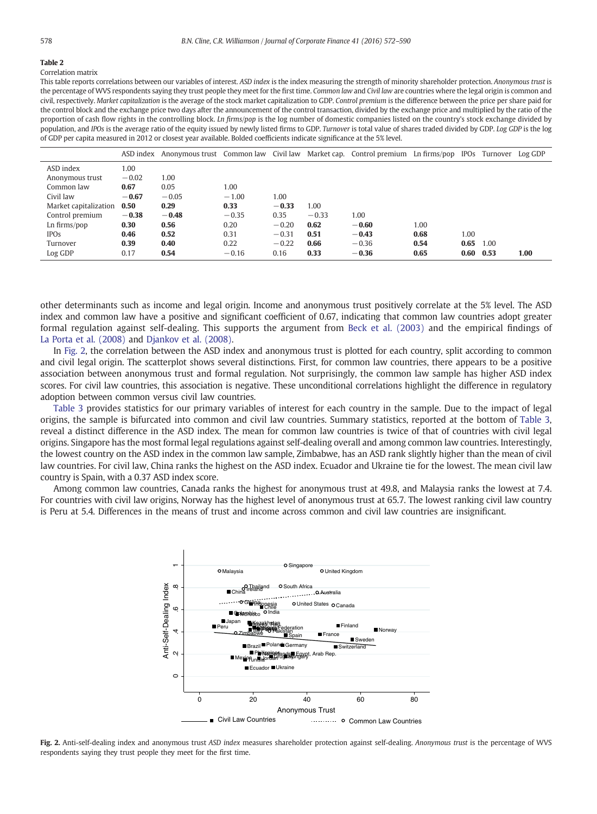<span id="page-6-0"></span>Correlation matrix

This table reports correlations between our variables of interest. ASD index is the index measuring the strength of minority shareholder protection. Anonymous trust is the percentage of WVS respondents saying they trust people they meet for the first time. Common law and Civil law are countries where the legal origin is common and civil, respectively. Market capitalization is the average of the stock market capitalization to GDP. Control premium is the difference between the price per share paid for the control block and the exchange price two days after the announcement of the control transaction, divided by the exchange price and multiplied by the ratio of the proportion of cash flow rights in the controlling block. Ln firms/pop is the log number of domestic companies listed on the country's stock exchange divided by population, and IPOs is the average ratio of the equity issued by newly listed firms to GDP. Turnover is total value of shares traded divided by GDP. Log GDP is the log of GDP per capita measured in 2012 or closest year available. Bolded coefficients indicate significance at the 5% level.

|                       |         | ASD index Anonymous trust Common law Civil law Market cap. Control premium Ln firms/pop IPOs Turnover |         |         |         |         |      |      |      | Log GDP |
|-----------------------|---------|-------------------------------------------------------------------------------------------------------|---------|---------|---------|---------|------|------|------|---------|
| ASD index             | 1.00    |                                                                                                       |         |         |         |         |      |      |      |         |
| Anonymous trust       | $-0.02$ | 1.00                                                                                                  |         |         |         |         |      |      |      |         |
| Common law            | 0.67    | 0.05                                                                                                  | 1.00    |         |         |         |      |      |      |         |
| Civil law             | $-0.67$ | $-0.05$                                                                                               | $-1.00$ | 1.00    |         |         |      |      |      |         |
| Market capitalization | 0.50    | 0.29                                                                                                  | 0.33    | $-0.33$ | 1.00    |         |      |      |      |         |
| Control premium       | $-0.38$ | $-0.48$                                                                                               | $-0.35$ | 0.35    | $-0.33$ | 1.00    |      |      |      |         |
| Ln firms/pop          | 0.30    | 0.56                                                                                                  | 0.20    | $-0.20$ | 0.62    | $-0.60$ | 1.00 |      |      |         |
| <b>IPOs</b>           | 0.46    | 0.52                                                                                                  | 0.31    | $-0.31$ | 0.51    | $-0.43$ | 0.68 | 1.00 |      |         |
| Turnover              | 0.39    | 0.40                                                                                                  | 0.22    | $-0.22$ | 0.66    | $-0.36$ | 0.54 | 0.65 | 1.00 |         |
| Log GDP               | 0.17    | 0.54                                                                                                  | $-0.16$ | 0.16    | 0.33    | $-0.36$ | 0.65 | 0.60 | 0.53 | 1.00    |

other determinants such as income and legal origin. Income and anonymous trust positively correlate at the 5% level. The ASD index and common law have a positive and significant coefficient of 0.67, indicating that common law countries adopt greater formal regulation against self-dealing. This supports the argument from [Beck et al. \(2003\)](#page-17-0) and the empirical findings of [La Porta et al. \(2008\)](#page-18-0) and [Djankov et al. \(2008\)](#page-17-0).

In Fig. 2, the correlation between the ASD index and anonymous trust is plotted for each country, split according to common and civil legal origin. The scatterplot shows several distinctions. First, for common law countries, there appears to be a positive association between anonymous trust and formal regulation. Not surprisingly, the common law sample has higher ASD index scores. For civil law countries, this association is negative. These unconditional correlations highlight the difference in regulatory adoption between common versus civil law countries.

[Table 3](#page-7-0) provides statistics for our primary variables of interest for each country in the sample. Due to the impact of legal origins, the sample is bifurcated into common and civil law countries. Summary statistics, reported at the bottom of [Table 3](#page-7-0), reveal a distinct difference in the ASD index. The mean for common law countries is twice of that of countries with civil legal origins. Singapore has the most formal legal regulations against self-dealing overall and among common law countries. Interestingly, the lowest country on the ASD index in the common law sample, Zimbabwe, has an ASD rank slightly higher than the mean of civil law countries. For civil law, China ranks the highest on the ASD index. Ecuador and Ukraine tie for the lowest. The mean civil law country is Spain, with a 0.37 ASD index score.

Among common law countries, Canada ranks the highest for anonymous trust at 49.8, and Malaysia ranks the lowest at 7.4. For countries with civil law origins, Norway has the highest level of anonymous trust at 65.7. The lowest ranking civil law country is Peru at 5.4. Differences in the means of trust and income across common and civil law countries are insignificant.



Fig. 2. Anti-self-dealing index and anonymous trust ASD index measures shareholder protection against self-dealing. Anonymous trust is the percentage of WVS respondents saying they trust people they meet for the first time.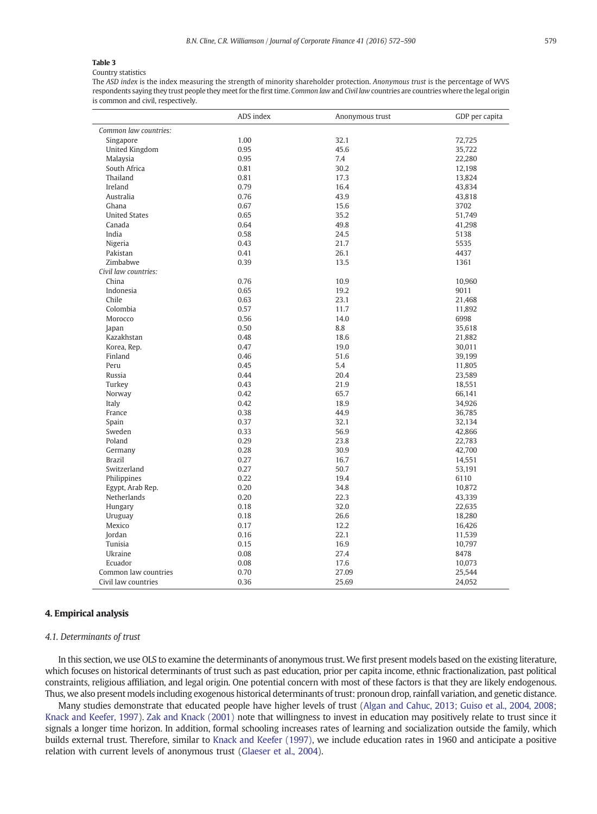<span id="page-7-0"></span>Country statistics

The ASD index is the index measuring the strength of minority shareholder protection. Anonymous trust is the percentage of WVS respondents saying they trust people they meet for the first time. Common law and Civil law countries are countries where the legal origin is common and civil, respectively.

|                       | ADS index | Anonymous trust | GDP per capita |
|-----------------------|-----------|-----------------|----------------|
| Common law countries: |           |                 |                |
| Singapore             | 1.00      | 32.1            | 72,725         |
| United Kingdom        | 0.95      | 45.6            | 35,722         |
| Malaysia              | 0.95      | 7.4             | 22,280         |
| South Africa          | 0.81      | 30.2            | 12,198         |
| Thailand              | 0.81      | 17.3            | 13,824         |
| Ireland               | 0.79      | 16.4            | 43,834         |
| Australia             | 0.76      | 43.9            | 43,818         |
| Ghana                 | 0.67      | 15.6            | 3702           |
| <b>United States</b>  | 0.65      | 35.2            | 51,749         |
| Canada                | 0.64      | 49.8            | 41,298         |
| India                 | 0.58      | 24.5            | 5138           |
| Nigeria               | 0.43      | 21.7            | 5535           |
| Pakistan              | 0.41      | 26.1            | 4437           |
| Zimbabwe              | 0.39      | 13.5            | 1361           |
| Civil law countries:  |           |                 |                |
| China                 | 0.76      | 10.9            | 10,960         |
| Indonesia             | 0.65      | 19.2            | 9011           |
| Chile                 | 0.63      | 23.1            | 21,468         |
| Colombia              | 0.57      | 11.7            | 11,892         |
| Morocco               | 0.56      | 14.0            | 6998           |
| Japan                 | 0.50      | 8.8             | 35,618         |
| Kazakhstan            | 0.48      | 18.6            | 21,882         |
| Korea, Rep.           | 0.47      | 19.0            | 30,011         |
| Finland               | 0.46      | 51.6            | 39,199         |
| Peru                  | 0.45      | 5.4             | 11,805         |
| Russia                | 0.44      | 20.4            | 23,589         |
| Turkey                | 0.43      | 21.9            | 18,551         |
| Norway                | 0.42      | 65.7            | 66,141         |
| Italy                 | 0.42      | 18.9            | 34,926         |
| France                | 0.38      | 44.9            | 36,785         |
| Spain                 | 0.37      | 32.1            | 32,134         |
| Sweden                | 0.33      | 56.9            | 42,866         |
| Poland                | 0.29      | 23.8            | 22,783         |
| Germany               | 0.28      | 30.9            | 42,700         |
| <b>Brazil</b>         | 0.27      | 16.7            | 14,551         |
| Switzerland           | 0.27      | 50.7            | 53,191         |
| Philippines           | 0.22      | 19.4            | 6110           |
| Egypt, Arab Rep.      | 0.20      | 34.8            | 10,872         |
| Netherlands           | 0.20      | 22.3            | 43,339         |
| Hungary               | 0.18      | 32.0            | 22,635         |
| Uruguay               | 0.18      | 26.6            | 18,280         |
| Mexico                | 0.17      | 12.2            | 16,426         |
| Jordan                | 0.16      | 22.1            | 11,539         |
| Tunisia               | 0.15      | 16.9            | 10,797         |
| Ukraine               | 0.08      | 27.4            | 8478           |
| Ecuador               | 0.08      | 17.6            | 10,073         |
| Common law countries  | 0.70      | 27.09           | 25,544         |
| Civil law countries   | 0.36      | 25.69           | 24,052         |

# 4. Empirical analysis

# 4.1. Determinants of trust

In this section, we use OLS to examine the determinants of anonymous trust. We first present models based on the existing literature, which focuses on historical determinants of trust such as past education, prior per capita income, ethnic fractionalization, past political constraints, religious affiliation, and legal origin. One potential concern with most of these factors is that they are likely endogenous. Thus, we also present models including exogenous historical determinants of trust: pronoun drop, rainfall variation, and genetic distance.

Many studies demonstrate that educated people have higher levels of trust [\(Algan and Cahuc, 2013; Guiso et al., 2004, 2008;](#page-17-0) [Knack and Keefer, 1997](#page-17-0)). [Zak and Knack \(2001\)](#page-18-0) note that willingness to invest in education may positively relate to trust since it signals a longer time horizon. In addition, formal schooling increases rates of learning and socialization outside the family, which builds external trust. Therefore, similar to [Knack and Keefer \(1997\),](#page-18-0) we include education rates in 1960 and anticipate a positive relation with current levels of anonymous trust [\(Glaeser et al., 2004\)](#page-17-0).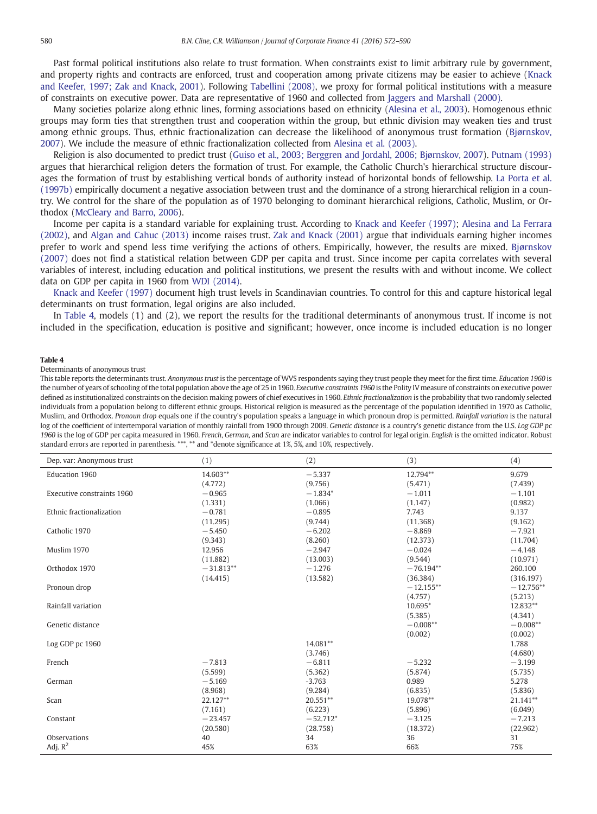Past formal political institutions also relate to trust formation. When constraints exist to limit arbitrary rule by government, and property rights and contracts are enforced, trust and cooperation among private citizens may be easier to achieve [\(Knack](#page-18-0) [and Keefer, 1997; Zak and Knack, 2001\)](#page-18-0). Following [Tabellini \(2008\)](#page-18-0), we proxy for formal political institutions with a measure of constraints on executive power. Data are representative of 1960 and collected from [Jaggers and Marshall \(2000\)](#page-18-0).

Many societies polarize along ethnic lines, forming associations based on ethnicity [\(Alesina et al., 2003\)](#page-17-0). Homogenous ethnic groups may form ties that strengthen trust and cooperation within the group, but ethnic division may weaken ties and trust among ethnic groups. Thus, ethnic fractionalization can decrease the likelihood of anonymous trust formation [\(Bjørnskov,](#page-17-0) [2007\)](#page-17-0). We include the measure of ethnic fractionalization collected from [Alesina et al. \(2003\)](#page-17-0).

Religion is also documented to predict trust [\(Guiso et al., 2003; Berggren and Jordahl, 2006; Bjørnskov, 2007](#page-17-0)). [Putnam \(1993\)](#page-18-0) argues that hierarchical religion deters the formation of trust. For example, the Catholic Church's hierarchical structure discourages the formation of trust by establishing vertical bonds of authority instead of horizontal bonds of fellowship. [La Porta et al.](#page-18-0) [\(1997b\)](#page-18-0) empirically document a negative association between trust and the dominance of a strong hierarchical religion in a country. We control for the share of the population as of 1970 belonging to dominant hierarchical religions, Catholic, Muslim, or Orthodox [\(McCleary and Barro, 2006](#page-18-0)).

Income per capita is a standard variable for explaining trust. According to [Knack and Keefer \(1997\);](#page-18-0) [Alesina and La Ferrara](#page-17-0) [\(2002\),](#page-17-0) and [Algan and Cahuc \(2013\)](#page-17-0) income raises trust. [Zak and Knack \(2001\)](#page-18-0) argue that individuals earning higher incomes prefer to work and spend less time verifying the actions of others. Empirically, however, the results are mixed. [Bjørnskov](#page-17-0) [\(2007\)](#page-17-0) does not find a statistical relation between GDP per capita and trust. Since income per capita correlates with several variables of interest, including education and political institutions, we present the results with and without income. We collect data on GDP per capita in 1960 from [WDI \(2014\).](#page-18-0)

[Knack and Keefer \(1997\)](#page-18-0) document high trust levels in Scandinavian countries. To control for this and capture historical legal determinants on trust formation, legal origins are also included.

In Table 4, models (1) and (2), we report the results for the traditional determinants of anonymous trust. If income is not included in the specification, education is positive and significant; however, once income is included education is no longer

#### Table 4

#### Determinants of anonymous trust

This table reports the determinants trust. Anonymous trust is the percentage of WVS respondents saying they trust people they meet for the first time. Education 1960 is the number of years of schooling of the total population above the age of 25 in 1960. Executive constraints 1960 is the Polity IV measure of constraints on executive power defined as institutionalized constraints on the decision making powers of chief executives in 1960. Ethnic fractionalization is the probability that two randomly selected individuals from a population belong to different ethnic groups. Historical religion is measured as the percentage of the population identified in 1970 as Catholic, Muslim, and Orthodox. Pronoun drop equals one if the country's population speaks a language in which pronoun drop is permitted. Rainfall variation is the natural log of the coefficient of intertemporal variation of monthly rainfall from 1900 through 2009. Genetic distance is a country's genetic distance from the U.S. Log GDP pc 1960 is the log of GDP per capita measured in 1960. French, German, and Scan are indicator variables to control for legal origin. English is the omitted indicator. Robust standard errors are reported in parenthesis. \*\*\*, \*\* and \*denote significance at 1%, 5%, and 10%, respectively.

| Dep. var: Anonymous trust  | (1)         | (2)        | (3)          | (4)         |
|----------------------------|-------------|------------|--------------|-------------|
| <b>Education 1960</b>      | 14.603**    | $-5.337$   | 12.794**     | 9.679       |
|                            | (4.772)     | (9.756)    | (5.471)      | (7.439)     |
| Executive constraints 1960 | $-0.965$    | $-1.834*$  | $-1.011$     | $-1.101$    |
|                            | (1.331)     | (1.066)    | (1.147)      | (0.982)     |
| Ethnic fractionalization   | $-0.781$    | $-0.895$   | 7.743        | 9.137       |
|                            | (11.295)    | (9.744)    | (11.368)     | (9.162)     |
| Catholic 1970              | $-5.450$    | $-6.202$   | $-8.869$     | $-7.921$    |
|                            | (9.343)     | (8.260)    | (12.373)     | (11.704)    |
| Muslim 1970                | 12.956      | $-2.947$   | $-0.024$     | $-4.148$    |
|                            | (11.882)    | (13.003)   | (9.544)      | (10.971)    |
| Orthodox 1970              | $-31.813**$ | $-1.276$   | $-76.194**$  | 260.100     |
|                            | (14.415)    | (13.582)   | (36.384)     | (316.197)   |
| Pronoun drop               |             |            | $-12.155***$ | $-12.756**$ |
|                            |             |            | (4.757)      | (5.213)     |
| Rainfall variation         |             |            | 10.695*      | 12.832**    |
|                            |             |            | (5.385)      | (4.341)     |
| Genetic distance           |             |            | $-0.008**$   | $-0.008**$  |
|                            |             |            | (0.002)      | (0.002)     |
| Log GDP pc 1960            |             | 14.081**   |              | 1.788       |
|                            |             | (3.746)    |              | (4.680)     |
| French                     | $-7.813$    | $-6.811$   | $-5.232$     | $-3.199$    |
|                            | (5.599)     | (5.362)    | (5.874)      | (5.735)     |
| German                     | $-5.169$    | $-3.763$   | 0.989        | 5.278       |
|                            | (8.968)     | (9.284)    | (6.835)      | (5.836)     |
| Scan                       | $22.127**$  | $20.551**$ | 19.078**     | $21.141**$  |
|                            | (7.161)     | (6.223)    | (5.896)      | (6.049)     |
| Constant                   | $-23.457$   | $-52.712*$ | $-3.125$     | $-7.213$    |
|                            | (20.580)    | (28.758)   | (18.372)     | (22.962)    |
| Observations               | 40          | 34         | 36           | 31          |
| Adj. $R^2$                 | 45%         | 63%        | 66%          | 75%         |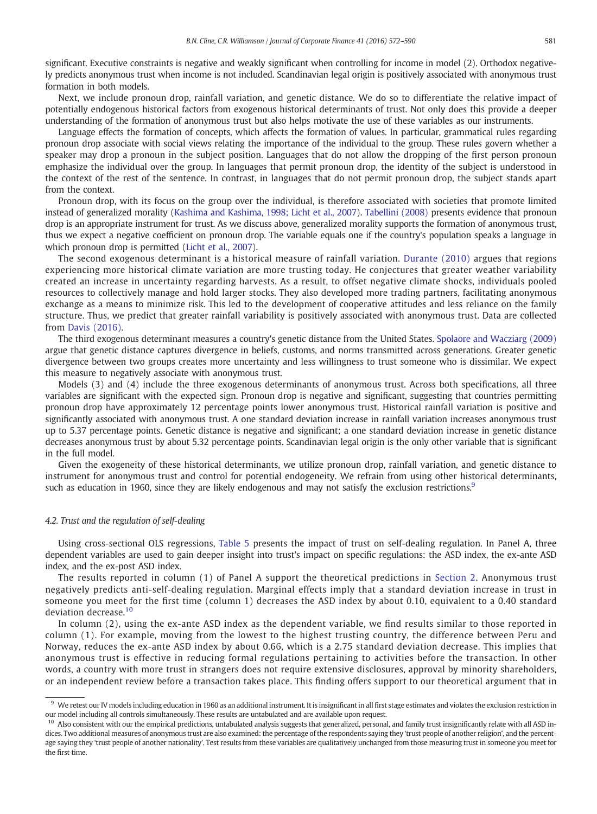significant. Executive constraints is negative and weakly significant when controlling for income in model (2). Orthodox negatively predicts anonymous trust when income is not included. Scandinavian legal origin is positively associated with anonymous trust formation in both models.

Next, we include pronoun drop, rainfall variation, and genetic distance. We do so to differentiate the relative impact of potentially endogenous historical factors from exogenous historical determinants of trust. Not only does this provide a deeper understanding of the formation of anonymous trust but also helps motivate the use of these variables as our instruments.

Language effects the formation of concepts, which affects the formation of values. In particular, grammatical rules regarding pronoun drop associate with social views relating the importance of the individual to the group. These rules govern whether a speaker may drop a pronoun in the subject position. Languages that do not allow the dropping of the first person pronoun emphasize the individual over the group. In languages that permit pronoun drop, the identity of the subject is understood in the context of the rest of the sentence. In contrast, in languages that do not permit pronoun drop, the subject stands apart from the context.

Pronoun drop, with its focus on the group over the individual, is therefore associated with societies that promote limited instead of generalized morality ([Kashima and Kashima, 1998; Licht et al., 2007](#page-18-0)). [Tabellini \(2008\)](#page-18-0) presents evidence that pronoun drop is an appropriate instrument for trust. As we discuss above, generalized morality supports the formation of anonymous trust, thus we expect a negative coefficient on pronoun drop. The variable equals one if the country's population speaks a language in which pronoun drop is permitted ([Licht et al., 2007\)](#page-18-0).

The second exogenous determinant is a historical measure of rainfall variation. [Durante \(2010\)](#page-17-0) argues that regions experiencing more historical climate variation are more trusting today. He conjectures that greater weather variability created an increase in uncertainty regarding harvests. As a result, to offset negative climate shocks, individuals pooled resources to collectively manage and hold larger stocks. They also developed more trading partners, facilitating anonymous exchange as a means to minimize risk. This led to the development of cooperative attitudes and less reliance on the family structure. Thus, we predict that greater rainfall variability is positively associated with anonymous trust. Data are collected from [Davis \(2016\).](#page-17-0)

The third exogenous determinant measures a country's genetic distance from the United States. [Spolaore and Wacziarg \(2009\)](#page-18-0) argue that genetic distance captures divergence in beliefs, customs, and norms transmitted across generations. Greater genetic divergence between two groups creates more uncertainty and less willingness to trust someone who is dissimilar. We expect this measure to negatively associate with anonymous trust.

Models (3) and (4) include the three exogenous determinants of anonymous trust. Across both specifications, all three variables are significant with the expected sign. Pronoun drop is negative and significant, suggesting that countries permitting pronoun drop have approximately 12 percentage points lower anonymous trust. Historical rainfall variation is positive and significantly associated with anonymous trust. A one standard deviation increase in rainfall variation increases anonymous trust up to 5.37 percentage points. Genetic distance is negative and significant; a one standard deviation increase in genetic distance decreases anonymous trust by about 5.32 percentage points. Scandinavian legal origin is the only other variable that is significant in the full model.

Given the exogeneity of these historical determinants, we utilize pronoun drop, rainfall variation, and genetic distance to instrument for anonymous trust and control for potential endogeneity. We refrain from using other historical determinants, such as education in 1960, since they are likely endogenous and may not satisfy the exclusion restrictions.<sup>9</sup>

## 4.2. Trust and the regulation of self-dealing

Using cross-sectional OLS regressions, [Table 5](#page-10-0) presents the impact of trust on self-dealing regulation. In Panel A, three dependent variables are used to gain deeper insight into trust's impact on specific regulations: the ASD index, the ex-ante ASD index, and the ex-post ASD index.

The results reported in column (1) of Panel A support the theoretical predictions in [Section 2.](#page-1-0) Anonymous trust negatively predicts anti-self-dealing regulation. Marginal effects imply that a standard deviation increase in trust in someone you meet for the first time (column 1) decreases the ASD index by about 0.10, equivalent to a 0.40 standard deviation decrease.<sup>10</sup>

In column (2), using the ex-ante ASD index as the dependent variable, we find results similar to those reported in column (1). For example, moving from the lowest to the highest trusting country, the difference between Peru and Norway, reduces the ex-ante ASD index by about 0.66, which is a 2.75 standard deviation decrease. This implies that anonymous trust is effective in reducing formal regulations pertaining to activities before the transaction. In other words, a country with more trust in strangers does not require extensive disclosures, approval by minority shareholders, or an independent review before a transaction takes place. This finding offers support to our theoretical argument that in

<sup>&</sup>lt;sup>9</sup> We retest our IV models including education in 1960 as an additional instrument. It is insignificant in all first stage estimates and violates the exclusion restriction in our model including all controls simultaneously. These results are untabulated and are available upon request.

<sup>&</sup>lt;sup>10</sup> Also consistent with our the empirical predictions, untabulated analysis suggests that generalized, personal, and family trust insignificantly relate with all ASD indices. Two additional measures of anonymous trust are also examined: the percentage of the respondents saying they 'trust people of another religion', and the percentage saying they 'trust people of another nationality'. Test results from these variables are qualitatively unchanged from those measuring trust in someone you meet for the first time.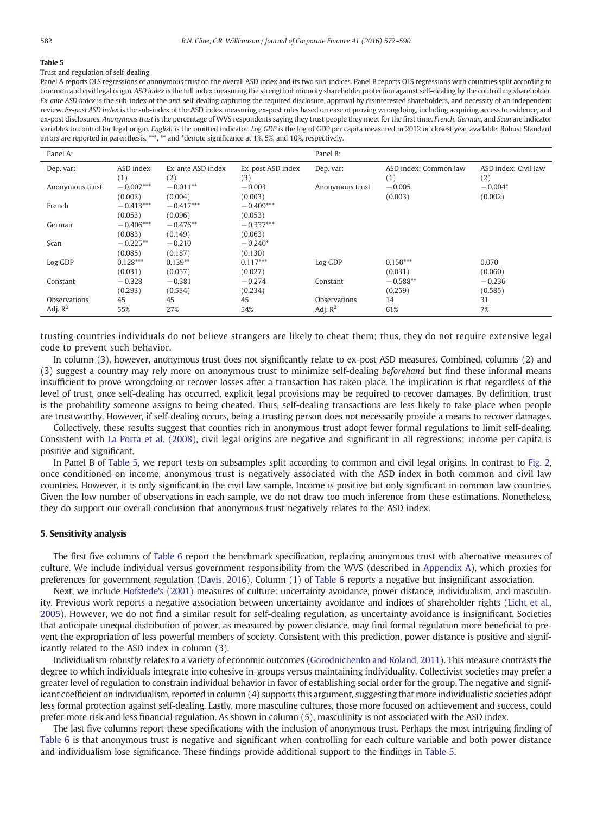#### <span id="page-10-0"></span>Trust and regulation of self-dealing

Panel A reports OLS regressions of anonymous trust on the overall ASD index and its two sub-indices. Panel B reports OLS regressions with countries split according to common and civil legal origin. ASD index is the full index measuring the strength of minority shareholder protection against self-dealing by the controlling shareholder. Ex-ante ASD index is the sub-index of the anti-self-dealing capturing the required disclosure, approval by disinterested shareholders, and necessity of an independent review. Ex-post ASD index is the sub-index of the ASD index measuring ex-post rules based on ease of proving wrongdoing, including acquiring access to evidence, and ex-post disclosures. Anonymous trust is the percentage of WVS respondents saying they trust people they meet for the first time. French, German, and Scan are indicator variables to control for legal origin. English is the omitted indicator. Log GDP is the log of GDP per capita measured in 2012 or closest year available. Robust Standard errors are reported in parenthesis. \*\*\*, \*\* and \*denote significance at 1%, 5%, and 10%, respectively.

| Panel A:        |             |                   |                   | Panel B:        |                       |                      |
|-----------------|-------------|-------------------|-------------------|-----------------|-----------------------|----------------------|
| Dep. var:       | ASD index   | Ex-ante ASD index | Ex-post ASD index | Dep. var:       | ASD index: Common law | ASD index: Civil law |
|                 | (1)         | (2)               | (3)               |                 | $^{(1)}$              | (2)                  |
| Anonymous trust | $-0.007***$ | $-0.011**$        | $-0.003$          | Anonymous trust | $-0.005$              | $-0.004*$            |
|                 | (0.002)     | (0.004)           | (0.003)           |                 | (0.003)               | (0.002)              |
| French          | $-0.413***$ | $-0.417***$       | $-0.409***$       |                 |                       |                      |
|                 | (0.053)     | (0.096)           | (0.053)           |                 |                       |                      |
| German          | $-0.406***$ | $-0.476**$        | $-0.337***$       |                 |                       |                      |
|                 | (0.083)     | (0.149)           | (0.063)           |                 |                       |                      |
| Scan            | $-0.225**$  | $-0.210$          | $-0.240*$         |                 |                       |                      |
|                 | (0.085)     | (0.187)           | (0.130)           |                 |                       |                      |
| Log GDP         | $0.128***$  | $0.139**$         | $0.117***$        | Log GDP         | $0.150***$            | 0.070                |
|                 | (0.031)     | (0.057)           | (0.027)           |                 | (0.031)               | (0.060)              |
| Constant        | $-0.328$    | $-0.381$          | $-0.274$          | Constant        | $-0.588**$            | $-0.236$             |
|                 | (0.293)     | (0.534)           | (0.234)           |                 | (0.259)               | (0.585)              |
| Observations    | 45          | 45                | 45                | Observations    | 14                    | 31                   |
| Adj. $R^2$      | 55%         | 27%               | 54%               | Adj. $R^2$      | 61%                   | 7%                   |

trusting countries individuals do not believe strangers are likely to cheat them; thus, they do not require extensive legal code to prevent such behavior.

In column (3), however, anonymous trust does not significantly relate to ex-post ASD measures. Combined, columns (2) and (3) suggest a country may rely more on anonymous trust to minimize self-dealing beforehand but find these informal means insufficient to prove wrongdoing or recover losses after a transaction has taken place. The implication is that regardless of the level of trust, once self-dealing has occurred, explicit legal provisions may be required to recover damages. By definition, trust is the probability someone assigns to being cheated. Thus, self-dealing transactions are less likely to take place when people are trustworthy. However, if self-dealing occurs, being a trusting person does not necessarily provide a means to recover damages.

Collectively, these results suggest that counties rich in anonymous trust adopt fewer formal regulations to limit self-dealing. Consistent with [La Porta et al. \(2008\),](#page-18-0) civil legal origins are negative and significant in all regressions; income per capita is positive and significant.

In Panel B of Table 5, we report tests on subsamples split according to common and civil legal origins. In contrast to [Fig. 2](#page-6-0), once conditioned on income, anonymous trust is negatively associated with the ASD index in both common and civil law countries. However, it is only significant in the civil law sample. Income is positive but only significant in common law countries. Given the low number of observations in each sample, we do not draw too much inference from these estimations. Nonetheless, they do support our overall conclusion that anonymous trust negatively relates to the ASD index.

#### 5. Sensitivity analysis

The first five columns of [Table 6](#page-11-0) report the benchmark specification, replacing anonymous trust with alternative measures of culture. We include individual versus government responsibility from the WVS (described in [Appendix A](#page-15-0)), which proxies for preferences for government regulation ([Davis, 2016\)](#page-17-0). Column (1) of [Table 6](#page-11-0) reports a negative but insignificant association.

Next, we include [Hofstede's \(2001\)](#page-18-0) measures of culture: uncertainty avoidance, power distance, individualism, and masculinity. Previous work reports a negative association between uncertainty avoidance and indices of shareholder rights ([Licht et al.,](#page-18-0) [2005\)](#page-18-0). However, we do not find a similar result for self-dealing regulation, as uncertainty avoidance is insignificant. Societies that anticipate unequal distribution of power, as measured by power distance, may find formal regulation more beneficial to prevent the expropriation of less powerful members of society. Consistent with this prediction, power distance is positive and significantly related to the ASD index in column (3).

Individualism robustly relates to a variety of economic outcomes ([Gorodnichenko and Roland, 2011](#page-17-0)). This measure contrasts the degree to which individuals integrate into cohesive in-groups versus maintaining individuality. Collectivist societies may prefer a greater level of regulation to constrain individual behavior in favor of establishing social order for the group. The negative and significant coefficient on individualism, reported in column (4) supports this argument, suggesting that more individualistic societies adopt less formal protection against self-dealing. Lastly, more masculine cultures, those more focused on achievement and success, could prefer more risk and less financial regulation. As shown in column (5), masculinity is not associated with the ASD index.

The last five columns report these specifications with the inclusion of anonymous trust. Perhaps the most intriguing finding of [Table 6](#page-11-0) is that anonymous trust is negative and significant when controlling for each culture variable and both power distance and individualism lose significance. These findings provide additional support to the findings in Table 5.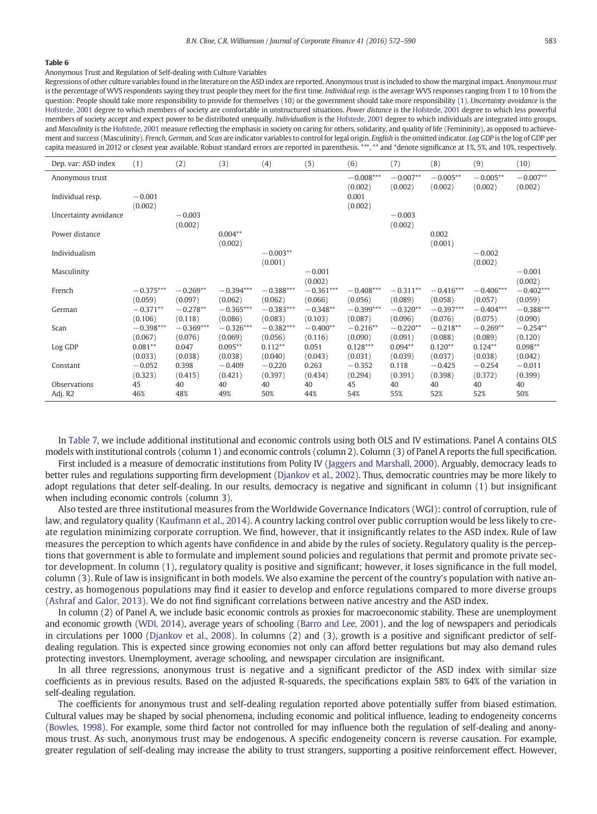<span id="page-11-0"></span>Anonymous Trust and Regulation of Self-dealing with Culture Variables

Regressions of other culture variables found in the literature on the ASD index are reported. Anonymous trust is included to show the marginal impact. Anonymous trust is the percentage of WVS respondents saying they trust people they meet for the first time. Individual resp. is the average WVS responses ranging from 1 to 10 from the question: People should take more responsibility to provide for themselves (10) or the government should take more responsibility (1). Uncertainty avoidance is the [Hofstede, 2001](#page-18-0) degree to which members of society are comfortable in unstructured situations. Power distance is the [Hofstede, 2001](#page-18-0) degree to which less powerful members of society accept and expect power to be distributed unequally. Individualism is the [Hofstede, 2001](#page-18-0) degree to which individuals are integrated into groups, and Masculinity is the [Hofstede, 2001](#page-18-0) measure reflecting the emphasis in society on caring for others, solidarity, and quality of life (Femininity), as opposed to achievement and success (Masculinity). French, German, and Scan are indicator variables to control for legal origin. English is the omitted indicator. Log GDP is the log of GDP per capita measured in 2012 or closest year available. Robust standard errors are reported in parenthesis. \*\*\*, \*\* and \*denote significance at 1%, 5%, and 10%, respectively.

| Dep. var: ASD index   | (1)                   | (2)                   | (3)                    | (4)                    | (5)                   | (6)                         | (7)                   | (8)                    | (9)                    | (10)                   |
|-----------------------|-----------------------|-----------------------|------------------------|------------------------|-----------------------|-----------------------------|-----------------------|------------------------|------------------------|------------------------|
| Anonymous trust       |                       |                       |                        |                        |                       | $-0.008***$                 | $-0.007**$            | $-0.005**$             | $-0.005**$             | $-0.007**$             |
| Individual resp.      | $-0.001$<br>(0.002)   |                       |                        |                        |                       | (0.002)<br>0.001<br>(0.002) | (0.002)               | (0.002)                | (0.002)                | (0.002)                |
| Uncertainty avoidance |                       | $-0.003$              |                        |                        |                       |                             | $-0.003$              |                        |                        |                        |
|                       |                       | (0.002)               |                        |                        |                       |                             | (0.002)               |                        |                        |                        |
| Power distance        |                       |                       | $0.004**$<br>(0.002)   |                        |                       |                             |                       | 0.002<br>(0.001)       |                        |                        |
| Individualism         |                       |                       |                        | $-0.003**$             |                       |                             |                       |                        | $-0.002$               |                        |
| Masculinity           |                       |                       |                        | (0.001)                | $-0.001$              |                             |                       |                        | (0.002)                | $-0.001$               |
|                       |                       |                       |                        |                        | (0.002)               |                             |                       |                        |                        | (0.002)                |
| French                | $-0.375***$           | $-0.269**$            | $-0.394***$            | $-0.388***$            | $-0.361***$           | $-0.408***$                 | $-0.311**$            | $-0.416***$            | $-0.406***$            | $-0.402***$            |
|                       | (0.059)               | (0.097)               | (0.062)                | (0.062)                | (0.066)               | (0.056)                     | (0.089)               | (0.058)                | (0.057)                | (0.059)                |
| German                | $-0.371**$<br>(0.106) | $-0.278**$<br>(0.118) | $-0.365***$<br>(0.086) | $-0.383***$<br>(0.083) | $-0.348**$<br>(0.103) | $-0.399***$<br>(0.087)      | $-0.320**$<br>(0.096) | $-0.397***$<br>(0.076) | $-0.404***$<br>(0.075) | $-0.388***$<br>(0.090) |
| Scan                  | $-0.398***$           | $-0.369***$           | $-0.326***$            | $-0.382***$            | $-0.400**$            | $-0.216**$                  | $-0.220**$            | $-0.218**$             | $-0.269**$             | $-0.254**$             |
|                       | (0.067)               | (0.076)               | (0.069)                | (0.056)                | (0.116)               | (0.090)                     | (0.091)               | (0.088)                | (0.089)                | (0.120)                |
| Log GDP               | $0.081**$             | 0.047                 | $0.095**$              | $0.112**$              | 0.051                 | $0.128***$                  | $0.094**$             | $0.120**$              | $0.124**$              | $0.098**$              |
| Constant              | (0.033)<br>$-0.052$   | (0.038)<br>0.398      | (0.038)<br>$-0.409$    | (0.040)<br>$-0.220$    | (0.043)<br>0.263      | (0.031)<br>$-0.352$         | (0.039)<br>0.118      | (0.037)<br>$-0.425$    | (0.038)<br>$-0.254$    | (0.042)<br>$-0.011$    |
|                       | (0.323)               | (0.415)               | (0.421)                | (0.397)                | (0.434)               | (0.294)                     | (0.391)               | (0.398)                | (0.372)                | (0.399)                |
| Observations          | 45                    | 40                    | 40                     | 40                     | 40                    | 45                          | 40                    | 40                     | 40                     | 40                     |
| Adj. R2               | 46%                   | 48%                   | 49%                    | 50%                    | 44%                   | 54%                         | 55%                   | 52%                    | 52%                    | 50%                    |

In [Table 7,](#page-12-0) we include additional institutional and economic controls using both OLS and IV estimations. Panel A contains OLS models with institutional controls (column 1) and economic controls (column 2). Column (3) of Panel A reports the full specification.

First included is a measure of democratic institutions from Polity IV [\(Jaggers and Marshall, 2000](#page-18-0)). Arguably, democracy leads to better rules and regulations supporting firm development [\(Djankov et al., 2002\)](#page-17-0). Thus, democratic countries may be more likely to adopt regulations that deter self-dealing. In our results, democracy is negative and significant in column (1) but insignificant when including economic controls (column 3).

Also tested are three institutional measures from the Worldwide Governance Indicators (WGI): control of corruption, rule of law, and regulatory quality [\(Kaufmann et al., 2014\)](#page-18-0). A country lacking control over public corruption would be less likely to create regulation minimizing corporate corruption. We find, however, that it insignificantly relates to the ASD index. Rule of law measures the perception to which agents have confidence in and abide by the rules of society. Regulatory quality is the perceptions that government is able to formulate and implement sound policies and regulations that permit and promote private sector development. In column (1), regulatory quality is positive and significant; however, it loses significance in the full model, column (3). Rule of law is insignificant in both models. We also examine the percent of the country's population with native ancestry, as homogenous populations may find it easier to develop and enforce regulations compared to more diverse groups ([Ashraf and Galor, 2013\)](#page-17-0). We do not find significant correlations between native ancestry and the ASD index.

In column (2) of Panel A, we include basic economic controls as proxies for macroeconomic stability. These are unemployment and economic growth [\(WDI, 2014\)](#page-18-0), average years of schooling [\(Barro and Lee, 2001](#page-17-0)), and the log of newspapers and periodicals in circulations per 1000 [\(Djankov et al., 2008\)](#page-17-0). In columns (2) and (3), growth is a positive and significant predictor of selfdealing regulation. This is expected since growing economies not only can afford better regulations but may also demand rules protecting investors. Unemployment, average schooling, and newspaper circulation are insignificant.

In all three regressions, anonymous trust is negative and a significant predictor of the ASD index with similar size coefficients as in previous results. Based on the adjusted R-squareds, the specifications explain 58% to 64% of the variation in self-dealing regulation.

The coefficients for anonymous trust and self-dealing regulation reported above potentially suffer from biased estimation. Cultural values may be shaped by social phenomena, including economic and political influence, leading to endogeneity concerns ([Bowles, 1998\)](#page-17-0). For example, some third factor not controlled for may influence both the regulation of self-dealing and anonymous trust. As such, anonymous trust may be endogenous. A specific endogeneity concern is reverse causation. For example, greater regulation of self-dealing may increase the ability to trust strangers, supporting a positive reinforcement effect. However,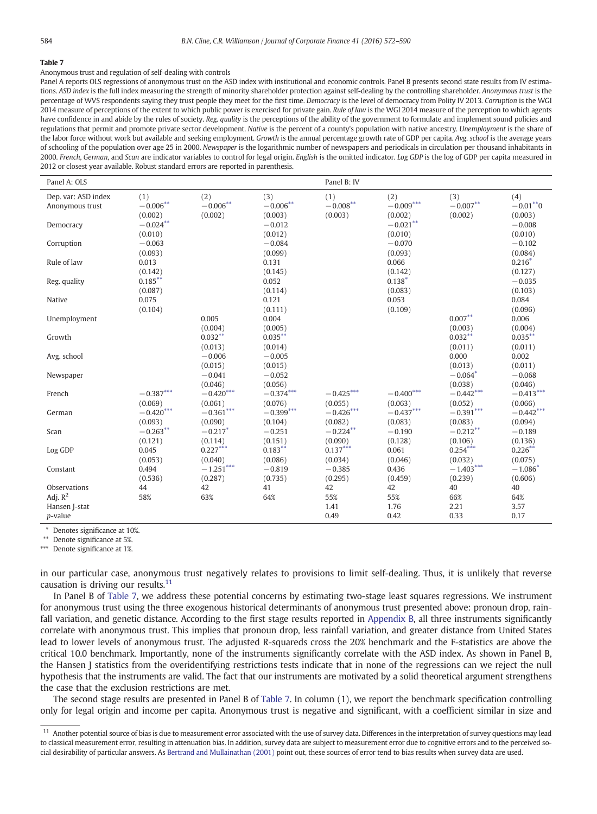#### <span id="page-12-0"></span>Anonymous trust and regulation of self-dealing with controls

Panel A reports OLS regressions of anonymous trust on the ASD index with institutional and economic controls. Panel B presents second state results from IV estimations. ASD index is the full index measuring the strength of minority shareholder protection against self-dealing by the controlling shareholder. Anonymous trust is the percentage of WVS respondents saying they trust people they meet for the first time. Democracy is the level of democracy from Polity IV 2013. Corruption is the WGI 2014 measure of perceptions of the extent to which public power is exercised for private gain. Rule of law is the WGI 2014 measure of the perception to which agents have confidence in and abide by the rules of society. Reg. quality is the perceptions of the ability of the government to formulate and implement sound policies and regulations that permit and promote private sector development. Native is the percent of a county's population with native ancestry. Unemployment is the share of the labor force without work but available and seeking employment. Growth is the annual percentage growth rate of GDP per capita. Avg. school is the average years of schooling of the population over age 25 in 2000. Newspaper is the logarithmic number of newspapers and periodicals in circulation per thousand inhabitants in 2000. French, German, and Scan are indicator variables to control for legal origin. English is the omitted indicator. Log GDP is the log of GDP per capita measured in 2012 or closest year available. Robust standard errors are reported in parenthesis.

| Panel A: OLS                                        |                                             |                                   |                                           | Panel B: IV                       |                                              |                                    |                                          |
|-----------------------------------------------------|---------------------------------------------|-----------------------------------|-------------------------------------------|-----------------------------------|----------------------------------------------|------------------------------------|------------------------------------------|
| Dep. var: ASD index<br>Anonymous trust<br>Democracy | (1)<br>$-0.006***$<br>(0.002)<br>$-0.024**$ | (2)<br>$-0.006***$<br>(0.002)     | (3)<br>$-0.006***$<br>(0.003)<br>$-0.012$ | (1)<br>$-0.008***$<br>(0.003)     | (2)<br>$-0.009***$<br>(0.002)<br>$-0.021***$ | (3)<br>$-0.007**$<br>(0.002)       | (4)<br>$-0.01**0$<br>(0.003)<br>$-0.008$ |
| Corruption                                          | (0.010)<br>$-0.063$<br>(0.093)              |                                   | (0.012)<br>$-0.084$<br>(0.099)            |                                   | (0.010)<br>$-0.070$<br>(0.093)               |                                    | (0.010)<br>$-0.102$<br>(0.084)           |
| Rule of law                                         | 0.013<br>(0.142)                            |                                   | 0.131<br>(0.145)                          |                                   | 0.066<br>(0.142)                             |                                    | $0.216*$<br>(0.127)                      |
| Reg. quality                                        | $0.185***$<br>(0.087)                       |                                   | 0.052<br>(0.114)                          |                                   | $0.138*$<br>(0.083)                          |                                    | $-0.035$<br>(0.103)                      |
| Native                                              | 0.075<br>(0.104)                            |                                   | 0.121<br>(0.111)                          |                                   | 0.053<br>(0.109)                             |                                    | 0.084<br>(0.096)                         |
| Unemployment                                        |                                             | 0.005<br>(0.004)<br>$0.032***$    | 0.004<br>(0.005)<br>$0.035***$            |                                   |                                              | $0.007**$<br>(0.003)<br>$0.032***$ | 0.006<br>(0.004)<br>$0.035***$           |
| Growth<br>Avg. school                               |                                             | (0.013)<br>$-0.006$               | (0.014)<br>$-0.005$                       |                                   |                                              | (0.011)<br>0.000                   | (0.011)<br>0.002                         |
| Newspaper                                           |                                             | (0.015)<br>$-0.041$               | (0.015)<br>$-0.052$                       |                                   |                                              | (0.013)<br>$-0.064*$               | (0.011)<br>$-0.068$                      |
| French                                              | $-0.387***$                                 | (0.046)<br>$-0.420***$            | (0.056)<br>$-0.374***$                    | $-0.425***$                       | $-0.400***$                                  | (0.038)<br>$-0.442***$             | (0.046)<br>$-0.413***$                   |
| German                                              | (0.069)<br>$-0.420***$<br>(0.093)           | (0.061)<br>$-0.361***$<br>(0.090) | (0.076)<br>$-0.399***$<br>(0.104)         | (0.055)<br>$-0.426***$<br>(0.082) | (0.063)<br>$-0.437***$<br>(0.083)            | (0.052)<br>$-0.391***$<br>(0.083)  | (0.066)<br>$-0.442***$<br>(0.094)        |
| Scan                                                | $-0.263**$<br>(0.121)                       | $-0.217*$<br>(0.114)              | $-0.251$<br>(0.151)                       | $-0.224***$<br>(0.090)            | $-0.190$<br>(0.128)                          | $-0.212***$<br>(0.106)             | $-0.189$<br>(0.136)                      |
| Log GDP                                             | 0.045<br>(0.053)                            | $0.227***$<br>(0.040)             | $0.183***$<br>(0.086)                     | $0.137***$<br>(0.034)             | 0.061<br>(0.046)                             | $0.254***$<br>(0.032)              | $0.226***$<br>(0.075)                    |
| Constant                                            | 0.494<br>(0.536)                            | $-1.251***$<br>(0.287)            | $-0.819$<br>(0.735)                       | $-0.385$<br>(0.295)               | 0.436<br>(0.459)                             | $-1.403***$<br>(0.239)             | $-1.086*$<br>(0.606)                     |
| Observations                                        | 44                                          | 42                                | 41                                        | 42                                | 42                                           | 40                                 | 40                                       |
| Adj. $R^2$                                          | 58%                                         | 63%                               | 64%                                       | 55%                               | 55%                                          | 66%                                | 64%                                      |
| Hansen J-stat                                       |                                             |                                   |                                           | 1.41                              | 1.76                                         | 2.21                               | 3.57                                     |
| p-value                                             |                                             |                                   |                                           | 0.49                              | 0.42                                         | 0.33                               | 0.17                                     |

Denotes significance at 10%.

⁎⁎ Denote significance at 5%.

\*\*\* Denote significance at 1%.

in our particular case, anonymous trust negatively relates to provisions to limit self-dealing. Thus, it is unlikely that reverse causation is driving our results.<sup>11</sup>

In Panel B of Table 7, we address these potential concerns by estimating two-stage least squares regressions. We instrument for anonymous trust using the three exogenous historical determinants of anonymous trust presented above: pronoun drop, rain-fall variation, and genetic distance. According to the first stage results reported in [Appendix B](#page-16-0), all three instruments significantly correlate with anonymous trust. This implies that pronoun drop, less rainfall variation, and greater distance from United States lead to lower levels of anonymous trust. The adjusted R-squareds cross the 20% benchmark and the F-statistics are above the critical 10.0 benchmark. Importantly, none of the instruments significantly correlate with the ASD index. As shown in Panel B, the Hansen J statistics from the overidentifying restrictions tests indicate that in none of the regressions can we reject the null hypothesis that the instruments are valid. The fact that our instruments are motivated by a solid theoretical argument strengthens the case that the exclusion restrictions are met.

The second stage results are presented in Panel B of Table 7. In column (1), we report the benchmark specification controlling only for legal origin and income per capita. Anonymous trust is negative and significant, with a coefficient similar in size and

<sup>&</sup>lt;sup>11</sup> Another potential source of bias is due to measurement error associated with the use of survey data. Differences in the interpretation of survey questions may lead to classical measurement error, resulting in attenuation bias. In addition, survey data are subject to measurement error due to cognitive errors and to the perceived social desirability of particular answers. As [Bertrand and Mullainathan \(2001\)](#page-17-0) point out, these sources of error tend to bias results when survey data are used.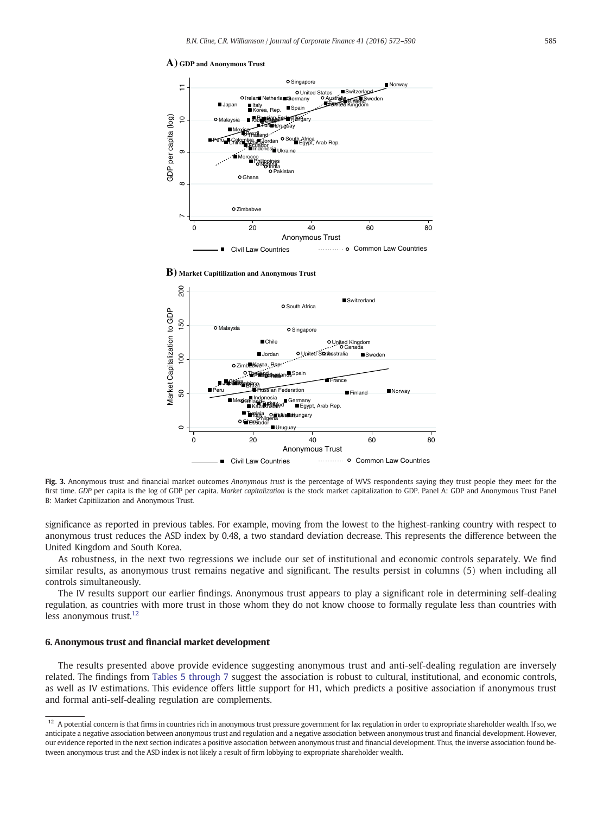#### <span id="page-13-0"></span>**A) GDP and Anonymous Trust**



Civil Law Countries **Common Law Countries** Civil Law Countries

# **[B\) Market Capitilization and Anonymous Trust](Image of Fig. 3)**



Fig. 3. Anonymous trust and financial market outcomes Anonymous trust is the percentage of WVS respondents saying they trust people they meet for the first time. GDP per capita is the log of GDP per capita. Market capitalization is the stock market capitalization to GDP. Panel A: GDP and Anonymous Trust Panel B: Market Capitilization and Anonymous Trust.

significance as reported in previous tables. For example, moving from the lowest to the highest-ranking country with respect to anonymous trust reduces the ASD index by 0.48, a two standard deviation decrease. This represents the difference between the United Kingdom and South Korea.

As robustness, in the next two regressions we include our set of institutional and economic controls separately. We find similar results, as anonymous trust remains negative and significant. The results persist in columns (5) when including all controls simultaneously.

The IV results support our earlier findings. Anonymous trust appears to play a significant role in determining self-dealing regulation, as countries with more trust in those whom they do not know choose to formally regulate less than countries with less anonymous trust.<sup>12</sup>

# 6. Anonymous trust and financial market development

The results presented above provide evidence suggesting anonymous trust and anti-self-dealing regulation are inversely related. The findings from [Tables 5 through 7](#page-10-0) suggest the association is robust to cultural, institutional, and economic controls, as well as IV estimations. This evidence offers little support for H1, which predicts a positive association if anonymous trust and formal anti-self-dealing regulation are complements.

<sup>&</sup>lt;sup>12</sup> A potential concern is that firms in countries rich in anonymous trust pressure government for lax regulation in order to expropriate shareholder wealth. If so, we anticipate a negative association between anonymous trust and regulation and a negative association between anonymous trust and financial development. However, our evidence reported in the next section indicates a positive association between anonymous trust and financial development. Thus, the inverse association found between anonymous trust and the ASD index is not likely a result of firm lobbying to expropriate shareholder wealth.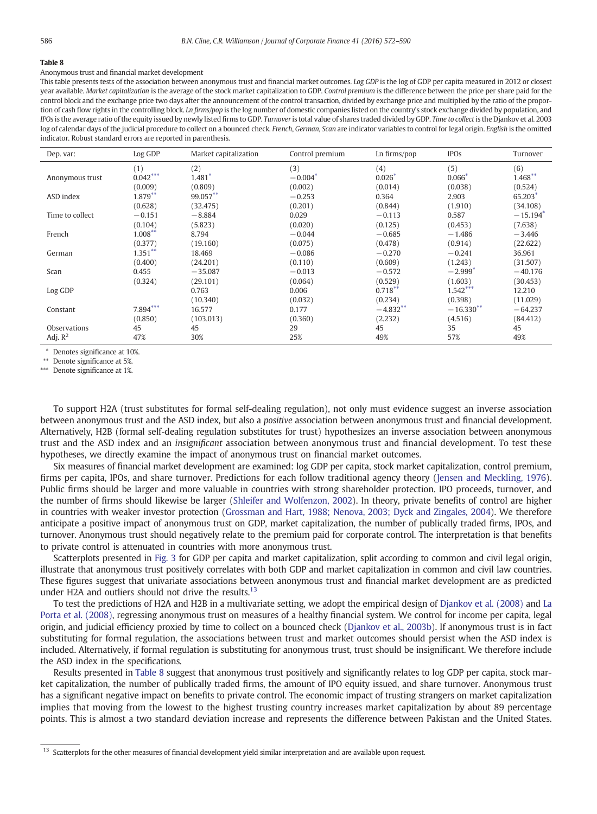Anonymous trust and financial market development

This table presents tests of the association between anonymous trust and financial market outcomes. Log GDP is the log of GDP per capita measured in 2012 or closest year available. Market capitalization is the average of the stock market capitalization to GDP. Control premium is the difference between the price per share paid for the control block and the exchange price two days after the announcement of the control transaction, divided by exchange price and multiplied by the ratio of the proportion of cash flow rights in the controlling block. Ln firms/pop is the log number of domestic companies listed on the country's stock exchange divided by population, and IPOs is the average ratio of the equity issued by newly listed firms to GDP. Turnoveris total value of shares traded divided by GDP. Time to collect is the Djankov et al. 2003 log of calendar days of the judicial procedure to collect on a bounced check. French, German, Scan are indicator variables to control for legal origin. English is the omitted indicator. Robust standard errors are reported in parenthesis.

| Dep. var:       | Log GDP    | Market capitalization | Control premium | Ln firms/pop | <b>IPOs</b> | Turnover               |
|-----------------|------------|-----------------------|-----------------|--------------|-------------|------------------------|
|                 | (1)        | (2)                   | (3)             | (4)          | (5)         | (6)                    |
| Anonymous trust | $0.042***$ | $1.481*$              | $-0.004*$       | $0.026*$     | $0.066*$    | 1.468**                |
|                 | (0.009)    | (0.809)               | (0.002)         | (0.014)      | (0.038)     | (0.524)                |
| ASD index       | $1.879***$ | 99.057**              | $-0.253$        | 0.364        | 2.903       | 65.203*                |
|                 | (0.628)    | (32.475)              | (0.201)         | (0.844)      | (1.910)     | (34.108)               |
| Time to collect | $-0.151$   | $-8.884$              | 0.029           | $-0.113$     | 0.587       | $-15.194$ <sup>*</sup> |
|                 | (0.104)    | (5.823)               | (0.020)         | (0.125)      | (0.453)     | (7.638)                |
| French          | $1.008***$ | 8.794                 | $-0.044$        | $-0.685$     | $-1.486$    | $-3.446$               |
|                 | (0.377)    | (19.160)              | (0.075)         | (0.478)      | (0.914)     | (22.622)               |
| German          | $1.351***$ | 18.469                | $-0.086$        | $-0.270$     | $-0.241$    | 36.961                 |
|                 | (0.400)    | (24.201)              | (0.110)         | (0.609)      | (1.243)     | (31.507)               |
| Scan            | 0.455      | $-35.087$             | $-0.013$        | $-0.572$     | $-2.999*$   | $-40.176$              |
|                 | (0.324)    | (29.101)              | (0.064)         | (0.529)      | (1.603)     | (30.453)               |
| Log GDP         |            | 0.763                 | 0.006           | $0.718***$   | $1.542***$  | 12.210                 |
|                 |            | (10.340)              | (0.032)         | (0.234)      | (0.398)     | (11.029)               |
| Constant        | $7.894***$ | 16.577                | 0.177           | $-4.832**$   | $-16.330**$ | $-64.237$              |
|                 | (0.850)    | (103.013)             | (0.360)         | (2.232)      | (4.516)     | (84.412)               |
| Observations    | 45         | 45                    | 29              | 45           | 35          | 45                     |
| Adj. $R^2$      | 47%        | 30%                   | 25%             | 49%          | 57%         | 49%                    |

⁎ Denotes significance at 10%.

⁎⁎ Denote significance at 5%.

\*\*\* Denote significance at 1%.

To support H2A (trust substitutes for formal self-dealing regulation), not only must evidence suggest an inverse association between anonymous trust and the ASD index, but also a positive association between anonymous trust and financial development. Alternatively, H2B (formal self-dealing regulation substitutes for trust) hypothesizes an inverse association between anonymous trust and the ASD index and an insignificant association between anonymous trust and financial development. To test these hypotheses, we directly examine the impact of anonymous trust on financial market outcomes.

Six measures of financial market development are examined: log GDP per capita, stock market capitalization, control premium, firms per capita, IPOs, and share turnover. Predictions for each follow traditional agency theory [\(Jensen and Meckling, 1976\)](#page-18-0). Public firms should be larger and more valuable in countries with strong shareholder protection. IPO proceeds, turnover, and the number of firms should likewise be larger ([Shleifer and Wolfenzon, 2002](#page-18-0)). In theory, private benefits of control are higher in countries with weaker investor protection ([Grossman and Hart, 1988; Nenova, 2003; Dyck and Zingales, 2004](#page-17-0)). We therefore anticipate a positive impact of anonymous trust on GDP, market capitalization, the number of publically traded firms, IPOs, and turnover. Anonymous trust should negatively relate to the premium paid for corporate control. The interpretation is that benefits to private control is attenuated in countries with more anonymous trust.

Scatterplots presented in [Fig. 3](#page-13-0) for GDP per capita and market capitalization, split according to common and civil legal origin, illustrate that anonymous trust positively correlates with both GDP and market capitalization in common and civil law countries. These figures suggest that univariate associations between anonymous trust and financial market development are as predicted under H2A and outliers should not drive the results.<sup>13</sup>

To test the predictions of H2A and H2B in a multivariate setting, we adopt the empirical design of [Djankov et al. \(2008\)](#page-17-0) and [La](#page-18-0) [Porta et al. \(2008\)](#page-18-0), regressing anonymous trust on measures of a healthy financial system. We control for income per capita, legal origin, and judicial efficiency proxied by time to collect on a bounced check [\(Djankov et al., 2003b](#page-17-0)). If anonymous trust is in fact substituting for formal regulation, the associations between trust and market outcomes should persist when the ASD index is included. Alternatively, if formal regulation is substituting for anonymous trust, trust should be insignificant. We therefore include the ASD index in the specifications.

Results presented in Table 8 suggest that anonymous trust positively and significantly relates to log GDP per capita, stock market capitalization, the number of publically traded firms, the amount of IPO equity issued, and share turnover. Anonymous trust has a significant negative impact on benefits to private control. The economic impact of trusting strangers on market capitalization implies that moving from the lowest to the highest trusting country increases market capitalization by about 89 percentage points. This is almost a two standard deviation increase and represents the difference between Pakistan and the United States.

<sup>&</sup>lt;sup>13</sup> Scatterplots for the other measures of financial development yield similar interpretation and are available upon request.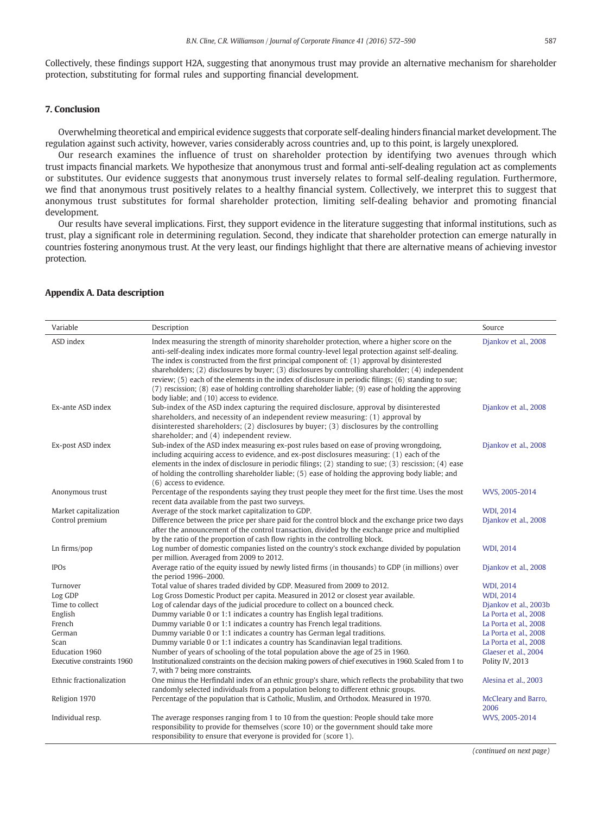<span id="page-15-0"></span>Collectively, these findings support H2A, suggesting that anonymous trust may provide an alternative mechanism for shareholder protection, substituting for formal rules and supporting financial development.

# 7. Conclusion

Overwhelming theoretical and empirical evidence suggests that corporate self-dealing hinders financial market development. The regulation against such activity, however, varies considerably across countries and, up to this point, is largely unexplored.

Our research examines the influence of trust on shareholder protection by identifying two avenues through which trust impacts financial markets. We hypothesize that anonymous trust and formal anti-self-dealing regulation act as complements or substitutes. Our evidence suggests that anonymous trust inversely relates to formal self-dealing regulation. Furthermore, we find that anonymous trust positively relates to a healthy financial system. Collectively, we interpret this to suggest that anonymous trust substitutes for formal shareholder protection, limiting self-dealing behavior and promoting financial development.

Our results have several implications. First, they support evidence in the literature suggesting that informal institutions, such as trust, play a significant role in determining regulation. Second, they indicate that shareholder protection can emerge naturally in countries fostering anonymous trust. At the very least, our findings highlight that there are alternative means of achieving investor protection.

| Variable                   | Description                                                                                                                                                                                                                                                                                                                                                                                                                                                                                                                                                                                                                                                               | Source                      |
|----------------------------|---------------------------------------------------------------------------------------------------------------------------------------------------------------------------------------------------------------------------------------------------------------------------------------------------------------------------------------------------------------------------------------------------------------------------------------------------------------------------------------------------------------------------------------------------------------------------------------------------------------------------------------------------------------------------|-----------------------------|
| ASD index                  | Index measuring the strength of minority shareholder protection, where a higher score on the<br>anti-self-dealing index indicates more formal country-level legal protection against self-dealing.<br>The index is constructed from the first principal component of: (1) approval by disinterested<br>shareholders; (2) disclosures by buyer; (3) disclosures by controlling shareholder; (4) independent<br>review; (5) each of the elements in the index of disclosure in periodic filings; (6) standing to sue;<br>(7) rescission; (8) ease of holding controlling shareholder liable; (9) ease of holding the approving<br>body liable; and (10) access to evidence. | Djankov et al., 2008        |
| Ex-ante ASD index          | Sub-index of the ASD index capturing the required disclosure, approval by disinterested<br>shareholders, and necessity of an independent review measuring: (1) approval by<br>disinterested shareholders; (2) disclosures by buyer; (3) disclosures by the controlling<br>shareholder; and (4) independent review.                                                                                                                                                                                                                                                                                                                                                        | Djankov et al., 2008        |
| Ex-post ASD index          | Sub-index of the ASD index measuring ex-post rules based on ease of proving wrongdoing,<br>including acquiring access to evidence, and ex-post disclosures measuring: (1) each of the<br>elements in the index of disclosure in periodic filings; (2) standing to sue; (3) rescission; (4) ease<br>of holding the controlling shareholder liable; (5) ease of holding the approving body liable; and<br>(6) access to evidence.                                                                                                                                                                                                                                           | Djankov et al., 2008        |
| Anonymous trust            | Percentage of the respondents saying they trust people they meet for the first time. Uses the most<br>recent data available from the past two surveys.                                                                                                                                                                                                                                                                                                                                                                                                                                                                                                                    | WVS, 2005-2014              |
| Market capitalization      | Average of the stock market capitalization to GDP.                                                                                                                                                                                                                                                                                                                                                                                                                                                                                                                                                                                                                        | <b>WDI, 2014</b>            |
| Control premium            | Difference between the price per share paid for the control block and the exchange price two days<br>after the announcement of the control transaction, divided by the exchange price and multiplied<br>by the ratio of the proportion of cash flow rights in the controlling block.                                                                                                                                                                                                                                                                                                                                                                                      | Djankov et al., 2008        |
| Ln firms/pop               | Log number of domestic companies listed on the country's stock exchange divided by population<br>per million. Averaged from 2009 to 2012.                                                                                                                                                                                                                                                                                                                                                                                                                                                                                                                                 | <b>WDI, 2014</b>            |
| <b>IPOs</b>                | Average ratio of the equity issued by newly listed firms (in thousands) to GDP (in millions) over<br>the period 1996-2000.                                                                                                                                                                                                                                                                                                                                                                                                                                                                                                                                                | Djankov et al., 2008        |
| Turnover                   | Total value of shares traded divided by GDP. Measured from 2009 to 2012.                                                                                                                                                                                                                                                                                                                                                                                                                                                                                                                                                                                                  | <b>WDI, 2014</b>            |
| Log GDP                    | Log Gross Domestic Product per capita. Measured in 2012 or closest year available.                                                                                                                                                                                                                                                                                                                                                                                                                                                                                                                                                                                        | <b>WDI, 2014</b>            |
| Time to collect            | Log of calendar days of the judicial procedure to collect on a bounced check.                                                                                                                                                                                                                                                                                                                                                                                                                                                                                                                                                                                             | Djankov et al., 2003b       |
| English                    | Dummy variable 0 or 1:1 indicates a country has English legal traditions.                                                                                                                                                                                                                                                                                                                                                                                                                                                                                                                                                                                                 | La Porta et al., 2008       |
| French                     | Dummy variable 0 or 1:1 indicates a country has French legal traditions.                                                                                                                                                                                                                                                                                                                                                                                                                                                                                                                                                                                                  | La Porta et al., 2008       |
| German                     | Dummy variable 0 or 1:1 indicates a country has German legal traditions.                                                                                                                                                                                                                                                                                                                                                                                                                                                                                                                                                                                                  | La Porta et al., 2008       |
| Scan                       | Dummy variable 0 or 1:1 indicates a country has Scandinavian legal traditions.                                                                                                                                                                                                                                                                                                                                                                                                                                                                                                                                                                                            | La Porta et al., 2008       |
| <b>Education 1960</b>      | Number of years of schooling of the total population above the age of 25 in 1960.                                                                                                                                                                                                                                                                                                                                                                                                                                                                                                                                                                                         | Glaeser et al., 2004        |
| Executive constraints 1960 | Institutionalized constraints on the decision making powers of chief executives in 1960. Scaled from 1 to<br>7, with 7 being more constraints.                                                                                                                                                                                                                                                                                                                                                                                                                                                                                                                            | Polity IV, 2013             |
| Ethnic fractionalization   | One minus the Herfindahl index of an ethnic group's share, which reflects the probability that two<br>randomly selected individuals from a population belong to different ethnic groups.                                                                                                                                                                                                                                                                                                                                                                                                                                                                                  | Alesina et al., 2003        |
| Religion 1970              | Percentage of the population that is Catholic, Muslim, and Orthodox. Measured in 1970.                                                                                                                                                                                                                                                                                                                                                                                                                                                                                                                                                                                    | McCleary and Barro,<br>2006 |
| Individual resp.           | The average responses ranging from 1 to 10 from the question: People should take more<br>responsibility to provide for themselves (score 10) or the government should take more<br>responsibility to ensure that everyone is provided for (score 1).                                                                                                                                                                                                                                                                                                                                                                                                                      | WVS, 2005-2014              |

## Appendix A. Data description

(continued on next page)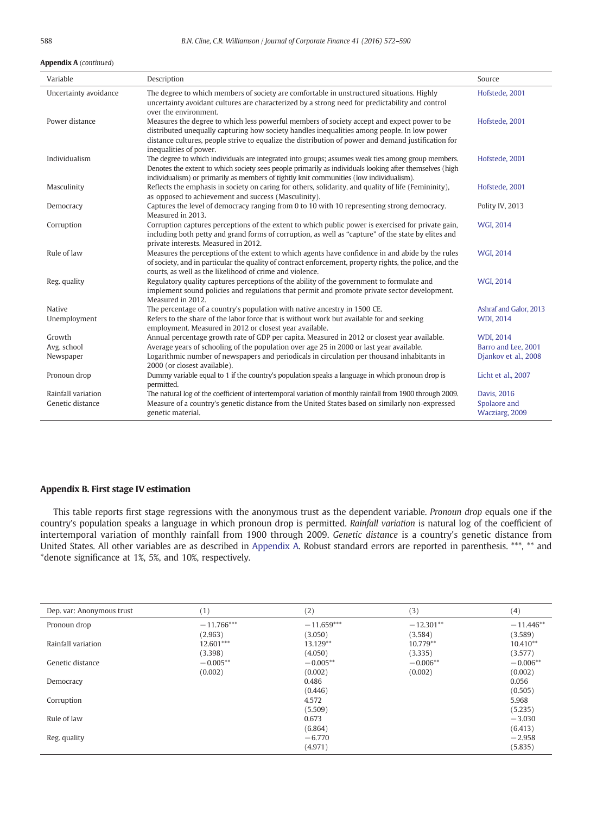### <span id="page-16-0"></span>**Appendix A** (continued)

| Variable                               | Description                                                                                                                                                                                                                                                                                                                 | Source                                     |
|----------------------------------------|-----------------------------------------------------------------------------------------------------------------------------------------------------------------------------------------------------------------------------------------------------------------------------------------------------------------------------|--------------------------------------------|
| Uncertainty avoidance                  | The degree to which members of society are comfortable in unstructured situations. Highly<br>uncertainty avoidant cultures are characterized by a strong need for predictability and control<br>over the environment.                                                                                                       | Hofstede, 2001                             |
| Power distance                         | Measures the degree to which less powerful members of society accept and expect power to be<br>distributed unequally capturing how society handles inequalities among people. In low power<br>distance cultures, people strive to equalize the distribution of power and demand justification for<br>inequalities of power. | Hofstede, 2001                             |
| Individualism                          | The degree to which individuals are integrated into groups; assumes weak ties among group members.<br>Denotes the extent to which society sees people primarily as individuals looking after themselves (high<br>individualism) or primarily as members of tightly knit communities (low individualism).                    | Hofstede, 2001                             |
| Masculinity                            | Reflects the emphasis in society on caring for others, solidarity, and quality of life (Femininity),<br>as opposed to achievement and success (Masculinity).                                                                                                                                                                | Hofstede, 2001                             |
| Democracy                              | Captures the level of democracy ranging from 0 to 10 with 10 representing strong democracy.<br>Measured in 2013.                                                                                                                                                                                                            | Polity IV, 2013                            |
| Corruption                             | Corruption captures perceptions of the extent to which public power is exercised for private gain,<br>including both petty and grand forms of corruption, as well as "capture" of the state by elites and<br>private interests. Measured in 2012.                                                                           | <b>WGI, 2014</b>                           |
| Rule of law                            | Measures the perceptions of the extent to which agents have confidence in and abide by the rules<br>of society, and in particular the quality of contract enforcement, property rights, the police, and the<br>courts, as well as the likelihood of crime and violence.                                                     | <b>WGI, 2014</b>                           |
| Reg. quality                           | Regulatory quality captures perceptions of the ability of the government to formulate and<br>implement sound policies and regulations that permit and promote private sector development.<br>Measured in 2012.                                                                                                              | <b>WGI, 2014</b>                           |
| Native<br>Unemployment                 | The percentage of a country's population with native ancestry in 1500 CE.<br>Refers to the share of the labor force that is without work but available for and seeking<br>employment. Measured in 2012 or closest year available.                                                                                           | Ashraf and Galor, 2013<br><b>WDI, 2014</b> |
| Growth                                 | Annual percentage growth rate of GDP per capita. Measured in 2012 or closest year available.                                                                                                                                                                                                                                | <b>WDI.2014</b>                            |
| Avg. school                            | Average years of schooling of the population over age 25 in 2000 or last year available.                                                                                                                                                                                                                                    | Barro and Lee, 2001                        |
| Newspaper                              | Logarithmic number of newspapers and periodicals in circulation per thousand inhabitants in<br>2000 (or closest available).                                                                                                                                                                                                 | Djankov et al., 2008                       |
| Pronoun drop                           | Dummy variable equal to 1 if the country's population speaks a language in which pronoun drop is<br>permitted.                                                                                                                                                                                                              | Licht et al., 2007                         |
| Rainfall variation<br>Genetic distance | The natural log of the coefficient of intertemporal variation of monthly rainfall from 1900 through 2009.<br>Measure of a country's genetic distance from the United States based on similarly non-expressed                                                                                                                | <b>Davis, 2016</b><br>Spolaore and         |
|                                        | genetic material.                                                                                                                                                                                                                                                                                                           | Wacziarg, 2009                             |

# Appendix B. First stage IV estimation

This table reports first stage regressions with the anonymous trust as the dependent variable. Pronoun drop equals one if the country's population speaks a language in which pronoun drop is permitted. Rainfall variation is natural log of the coefficient of intertemporal variation of monthly rainfall from 1900 through 2009. Genetic distance is a country's genetic distance from United States. All other variables are as described in [Appendix A](#page-15-0). Robust standard errors are reported in parenthesis. \*\*\*, \*\* and \*denote significance at 1%, 5%, and 10%, respectively.

| Dep. var: Anonymous trust | (1)          | (2)          | (3)         | (4)         |
|---------------------------|--------------|--------------|-------------|-------------|
| Pronoun drop              | $-11.766***$ | $-11.659***$ | $-12.301**$ | $-11.446**$ |
|                           | (2.963)      | (3.050)      | (3.584)     | (3.589)     |
| Rainfall variation        | 12.601***    | 13.129**     | 10.779**    | $10.410**$  |
|                           | (3.398)      | (4.050)      | (3.335)     | (3.577)     |
| Genetic distance          | $-0.005**$   | $-0.005**$   | $-0.006**$  | $-0.006**$  |
|                           | (0.002)      | (0.002)      | (0.002)     | (0.002)     |
| Democracy                 |              | 0.486        |             | 0.056       |
|                           |              | (0.446)      |             | (0.505)     |
| Corruption                |              | 4.572        |             | 5.968       |
|                           |              | (5.509)      |             | (5.235)     |
| Rule of law               |              | 0.673        |             | $-3.030$    |
|                           |              | (6.864)      |             | (6.413)     |
| Reg. quality              |              | $-6.770$     |             | $-2.958$    |
|                           |              | (4.971)      |             | (5.835)     |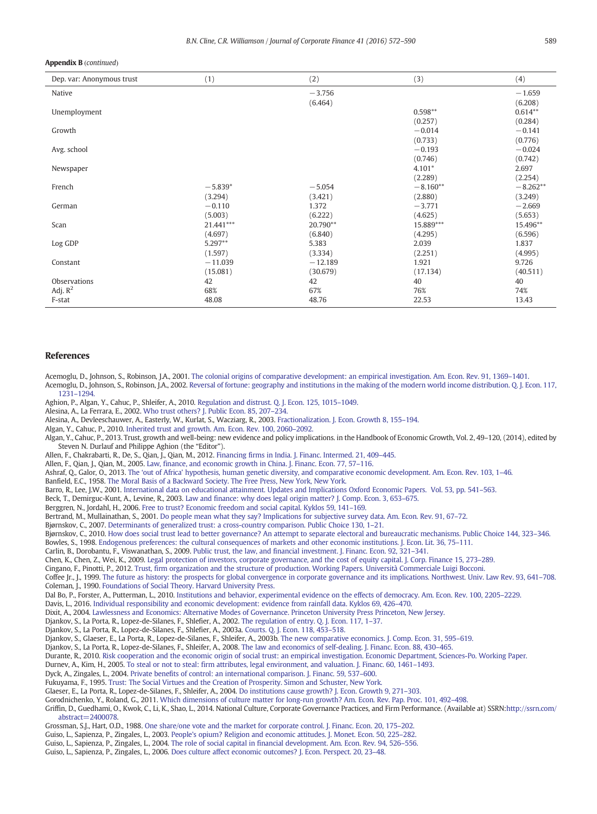#### <span id="page-17-0"></span>A**ppendix B** (continued)

| Dep. var: Anonymous trust | (1)       | (2)       | (3)        | (4)        |
|---------------------------|-----------|-----------|------------|------------|
| Native                    |           | $-3.756$  |            | $-1.659$   |
|                           |           | (6.464)   |            | (6.208)    |
| Unemployment              |           |           | $0.598**$  | $0.614**$  |
|                           |           |           | (0.257)    | (0.284)    |
| Growth                    |           |           | $-0.014$   | $-0.141$   |
|                           |           |           | (0.733)    | (0.776)    |
| Avg. school               |           |           | $-0.193$   | $-0.024$   |
|                           |           |           | (0.746)    | (0.742)    |
| Newspaper                 |           |           | $4.101*$   | 2.697      |
|                           |           |           | (2.289)    | (2.254)    |
| French                    | $-5.839*$ | $-5.054$  | $-8.160**$ | $-8.262**$ |
|                           | (3.294)   | (3.421)   | (2.880)    | (3.249)    |
| German                    | $-0.110$  | 1.372     | $-3.771$   | $-2.669$   |
|                           | (5.003)   | (6.222)   | (4.625)    | (5.653)    |
| Scan                      | 21.441*** | 20.790**  | 15.889***  | 15.496**   |
|                           | (4.697)   | (6.840)   | (4.295)    | (6.596)    |
| Log GDP                   | 5.297**   | 5.383     | 2.039      | 1.837      |
|                           | (1.597)   | (3.334)   | (2.251)    | (4.995)    |
| Constant                  | $-11,039$ | $-12.189$ | 1.921      | 9.726      |
|                           | (15.081)  | (30.679)  | (17.134)   | (40.511)   |
| Observations              | 42        | 42        | 40         | 40         |
| Adj. $R^2$                | 68%       | 67%       | 76%        | 74%        |
| F-stat                    | 48.08     | 48.76     | 22.53      | 13.43      |

#### References

Acemoglu, D., Johnson, S., Robinson, J.A., 2001. [The colonial origins of comparative development: an empirical investigation. Am. Econ. Rev. 91, 1369](http://refhub.elsevier.com/S0929-1199(16)30096-7/rf0005)–1401. Acemoglu, D., Johnson, S., Robinson, J.A., 2002. [Reversal of fortune: geography and institutions in the making of the modern world income distribution. Q. J. Econ. 117,](http://refhub.elsevier.com/S0929-1199(16)30096-7/rf0010) [1231](http://refhub.elsevier.com/S0929-1199(16)30096-7/rf0010)–1294.

Aghion, P., Algan, Y., Cahuc, P., Shleifer, A., 2010. [Regulation and distrust. Q. J. Econ. 125, 1015](http://refhub.elsevier.com/S0929-1199(16)30096-7/rf0015)-1049.

Alesina, A., La Ferrara, E., 2002. [Who trust others? J. Public Econ. 85, 207](http://refhub.elsevier.com/S0929-1199(16)30096-7/rf0020)–234.

Alesina, A., Devleeschauwer, A., Easterly, W., Kurlat, S., Wacziarg, R., 2003. [Fractionalization. J. Econ. Growth 8, 155](http://refhub.elsevier.com/S0929-1199(16)30096-7/rf0025)–194.

Algan, Y., Cahuc, P., 2010. [Inherited trust and growth. Am. Econ. Rev. 100, 2060](http://refhub.elsevier.com/S0929-1199(16)30096-7/rf0030)–2092.

Algan, Y., Cahuc, P., 2013. Trust, growth and well-being: new evidence and policy implications. in the Handbook of Economic Growth, Vol. 2, 49–120, (2014), edited by Steven N. Durlauf and Philippe Aghion (the "Editor").

Allen, F., Chakrabarti, R., De, S., Qian, J., Qian, M., 2012. [Financing firms in India. J. Financ. Intermed. 21, 409](http://refhub.elsevier.com/S0929-1199(16)30096-7/rf0035)–445.

Allen, F., Qian, J., Qian, M., 2005. [Law, finance, and economic growth in China. J. Financ. Econ. 77, 57](http://refhub.elsevier.com/S0929-1199(16)30096-7/rf0040)–116.

Ashraf, Q., Galor, O., 2013. The 'out of Africa' [hypothesis, human genetic diversity, and comparative economic development. Am. Econ. Rev. 103, 1](http://refhub.elsevier.com/S0929-1199(16)30096-7/rf0045)–46.

Banfield, E.C., 1958. [The Moral Basis of a Backward Society. The Free Press, New York, New York.](http://refhub.elsevier.com/S0929-1199(16)30096-7/rf0050)

Barro, R., Lee, J.W., 2001. [International data on educational attainment. Updates and Implications Oxford Economic Papers. Vol. 53, pp. 541](http://refhub.elsevier.com/S0929-1199(16)30096-7/rf0055)–563.

Beck, T., Demirguc-Kunt, A., Levine, R., 2003. [Law and finance: why does legal origin matter? J. Comp. Econ. 3, 653](http://refhub.elsevier.com/S0929-1199(16)30096-7/rf0060)–675.

Berggren, N., Jordahl, H., 2006. [Free to trust? Economic freedom and social capital. Kyklos 59, 141](http://refhub.elsevier.com/S0929-1199(16)30096-7/rf0065)–169.

Bertrand, M., Mullainathan, S., 2001. [Do people mean what they say? Implications for subjective survey data. Am. Econ. Rev. 91, 67](http://refhub.elsevier.com/S0929-1199(16)30096-7/rf0070)–72.

Bjørnskov, C., 2007. [Determinants of generalized trust: a cross-country comparison. Public Choice 130, 1](http://refhub.elsevier.com/S0929-1199(16)30096-7/rf0075)–21.

Bjørnskov, C., 2010. [How does social trust lead to better governance? An attempt to separate electoral and bureaucratic mechanisms. Public Choice 144, 323](http://refhub.elsevier.com/S0929-1199(16)30096-7/rf0080)–346.

Bowles, S., 1998. [Endogenous preferences: the cultural consequences of markets and other economic institutions. J. Econ. Lit. 36, 75](http://refhub.elsevier.com/S0929-1199(16)30096-7/rf0085)–111.

Carlin, B., Dorobantu, F., Viswanathan, S., 2009. [Public trust, the law, and financial investment. J. Financ. Econ. 92, 321](http://refhub.elsevier.com/S0929-1199(16)30096-7/rf0090)–341.

Chen, K., Chen, Z., Wei, K., 2009. [Legal protection of investors, corporate governance, and the cost of equity capital. J. Corp. Finance 15, 273](http://refhub.elsevier.com/S0929-1199(16)30096-7/rf0095)–289.

Cingano, F., Pinotti, P., 2012. [Trust, firm organization and the structure of production. Working Papers. Università Commerciale Luigi Bocconi](http://refhub.elsevier.com/S0929-1199(16)30096-7/rf0100).

Coffee Jr., J., 1999. [The future as history: the prospects for global convergence in corporate governance and its implications. Northwest. Univ. Law Rev. 93, 641](http://refhub.elsevier.com/S0929-1199(16)30096-7/rf0105)–708. Coleman, J., 1990. [Foundations of Social Theory. Harvard University Press](http://refhub.elsevier.com/S0929-1199(16)30096-7/rf0110).

Dal Bo, P., Forster, A., Putterman, L., 2010. [Institutions and behavior, experimental evidence on the effects of democracy. Am. Econ. Rev. 100, 2205](http://refhub.elsevier.com/S0929-1199(16)30096-7/rf0115)–2229.

Davis, L., 2016. [Individual responsibility and economic development: evidence from rainfall data. Kyklos 69, 426](http://refhub.elsevier.com/S0929-1199(16)30096-7/rf0120)–470.

Dixit, A., 2004. [Lawlessness and Economics: Alternative Modes of Governance. Princeton University Press Princeton, New Jersey](http://refhub.elsevier.com/S0929-1199(16)30096-7/rf0125). Djankov, S., La Porta, R., Lopez-de-Silanes, F., Shlefier, A., 2002. [The regulation of entry. Q. J. Econ. 117, 1](http://refhub.elsevier.com/S0929-1199(16)30096-7/rf0130)–37.

Djankov, S., La Porta, R., Lopez-de-Silanes, F., Shlefier, A., 2003a. [Courts. Q. J. Econ. 118, 453](http://refhub.elsevier.com/S0929-1199(16)30096-7/rf0135)–518.

Djankov, S., Glaeser, E., La Porta, R., Lopez-de-Silanes, F., Shleifer, A., 2003b. [The new comparative economics. J. Comp. Econ. 31, 595](http://refhub.elsevier.com/S0929-1199(16)30096-7/rf0140)–619.

Djankov, S., La Porta, R., Lopez-de-Silanes, F., Shleifer, A., 2008. [The law and economics of self-dealing. J. Financ. Econ. 88, 430](http://refhub.elsevier.com/S0929-1199(16)30096-7/rf0145)–465.

Durante, R., 2010. [Risk cooperation and the economic origin of social trust: an empirical investigation. Economic Department, Sciences-Po. Working Paper](http://refhub.elsevier.com/S0929-1199(16)30096-7/rf0150).

Durnev, A., Kim, H., 2005. [To steal or not to steal: firm attributes, legal environment, and valuation. J. Financ. 60, 1461](http://refhub.elsevier.com/S0929-1199(16)30096-7/rf0155)–1493.

Dyck, A., Zingales, L., 2004. [Private benefits of control: an international comparison. J. Financ. 59, 537](http://refhub.elsevier.com/S0929-1199(16)30096-7/rf0160)–600.

Fukuyama, F., 1995. [Trust: The Social Virtues and the Creation of Prosperity. Simon and Schuster, New York](http://refhub.elsevier.com/S0929-1199(16)30096-7/rf0165).

Glaeser, E., La Porta, R., Lopez-de-Silanes, F., Shleifer, A., 2004. [Do institutions cause growth? J. Econ. Growth 9, 271](http://refhub.elsevier.com/S0929-1199(16)30096-7/rf0170)–303.

Gorodnichenko, Y., Roland, G., 2011. [Which dimensions of culture matter for long-run growth? Am. Econ. Rev. Pap. Proc. 101, 492](http://refhub.elsevier.com/S0929-1199(16)30096-7/rf0175)–498.

Griffin, D., Guedhami, O., Kwok, C., Li, K., Shao, L., 2014. National Culture, Corporate Governance Practices, and Firm Performance. (Available at) SSRN:[http://ssrn.com/](http://ssrn.com/abstract=2400078) [abstract=2400078.](http://ssrn.com/abstract=2400078)

Grossman, S.J., Hart, O.D., 1988. [One share/one vote and the market for corporate control. J. Financ. Econ. 20, 175](http://refhub.elsevier.com/S0929-1199(16)30096-7/rf0180)–202.

Guiso, L., Sapienza, P., Zingales, L., 2003. [People's opium? Religion and economic attitudes. J. Monet. Econ. 50, 225](http://refhub.elsevier.com/S0929-1199(16)30096-7/rf0185)–282.

Guiso, L., Sapienza, P., Zingales, L., 2004. [The role of social capital in financial development. Am. Econ. Rev. 94, 526](http://refhub.elsevier.com/S0929-1199(16)30096-7/rf0190)–556.

Guiso, L., Sapienza, P., Zingales, L., 2006. [Does culture affect economic outcomes? J. Econ. Perspect. 20, 23](http://refhub.elsevier.com/S0929-1199(16)30096-7/rf0195)–48.